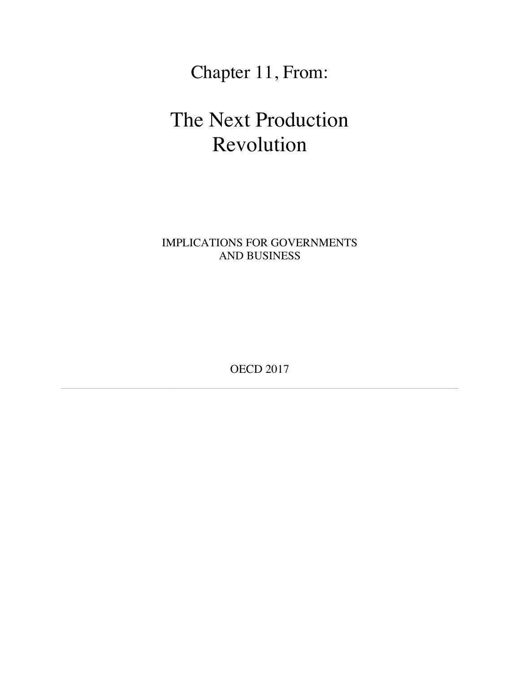Chapter 11, From:

## The Next Production Revolution

**IMPLICATIONS FOR GOVERNMENTS AND BUSINESS** 

**OECD 2017**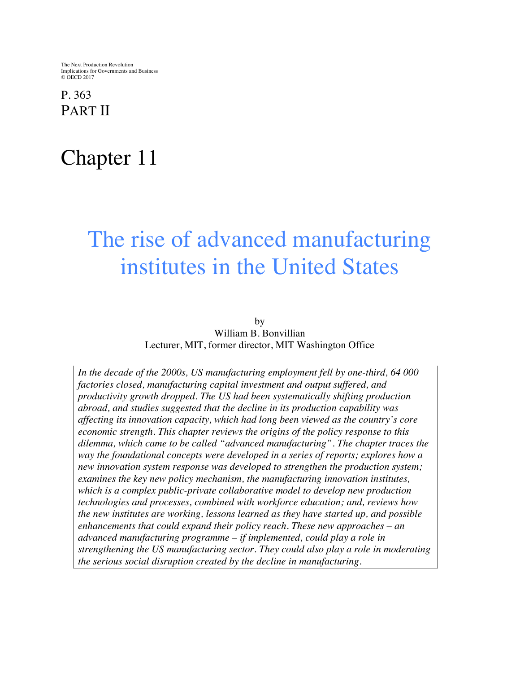The Next Production Revolution Implications for Governments and Business © OECD 2017

## P. 363 PART II

# Chapter 11

# The rise of advanced manufacturing institutes in the United States

by William B. Bonvillian Lecturer, MIT, former director, MIT Washington Office

*In the decade of the 2000s, US manufacturing employment fell by one-third, 64 000 factories closed, manufacturing capital investment and output suffered, and productivity growth dropped. The US had been systematically shifting production abroad, and studies suggested that the decline in its production capability was affecting its innovation capacity, which had long been viewed as the country's core economic strength. This chapter reviews the origins of the policy response to this dilemma, which came to be called "advanced manufacturing". The chapter traces the way the foundational concepts were developed in a series of reports; explores how a new innovation system response was developed to strengthen the production system; examines the key new policy mechanism, the manufacturing innovation institutes, which is a complex public-private collaborative model to develop new production technologies and processes, combined with workforce education; and, reviews how the new institutes are working, lessons learned as they have started up, and possible enhancements that could expand their policy reach. These new approaches – an advanced manufacturing programme – if implemented, could play a role in strengthening the US manufacturing sector. They could also play a role in moderating the serious social disruption created by the decline in manufacturing.*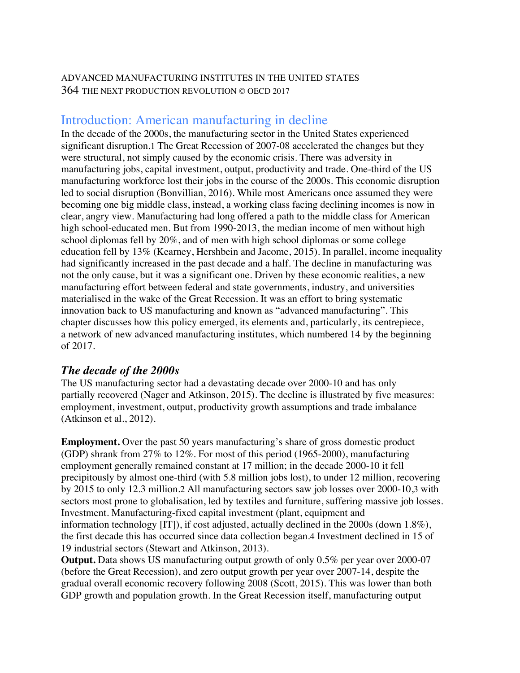#### ADVANCED MANUFACTURING INSTITUTES IN THE UNITED STATES 364 THE NEXT PRODUCTION REVOLUTION © OECD 2017

## Introduction: American manufacturing in decline

In the decade of the 2000s, the manufacturing sector in the United States experienced significant disruption.1 The Great Recession of 2007-08 accelerated the changes but they were structural, not simply caused by the economic crisis. There was adversity in manufacturing jobs, capital investment, output, productivity and trade. One-third of the US manufacturing workforce lost their jobs in the course of the 2000s. This economic disruption led to social disruption (Bonvillian, 2016). While most Americans once assumed they were becoming one big middle class, instead, a working class facing declining incomes is now in clear, angry view. Manufacturing had long offered a path to the middle class for American high school-educated men. But from 1990-2013, the median income of men without high school diplomas fell by 20%, and of men with high school diplomas or some college education fell by 13% (Kearney, Hershbein and Jacome, 2015). In parallel, income inequality had significantly increased in the past decade and a half. The decline in manufacturing was not the only cause, but it was a significant one. Driven by these economic realities, a new manufacturing effort between federal and state governments, industry, and universities materialised in the wake of the Great Recession. It was an effort to bring systematic innovation back to US manufacturing and known as "advanced manufacturing". This chapter discusses how this policy emerged, its elements and, particularly, its centrepiece, a network of new advanced manufacturing institutes, which numbered 14 by the beginning of 2017.

#### *The decade of the 2000s*

The US manufacturing sector had a devastating decade over 2000-10 and has only partially recovered (Nager and Atkinson, 2015). The decline is illustrated by five measures: employment, investment, output, productivity growth assumptions and trade imbalance (Atkinson et al., 2012).

**Employment.** Over the past 50 years manufacturing's share of gross domestic product (GDP) shrank from 27% to 12%. For most of this period (1965-2000), manufacturing employment generally remained constant at 17 million; in the decade 2000-10 it fell precipitously by almost one-third (with 5.8 million jobs lost), to under 12 million, recovering by 2015 to only 12.3 million.2 All manufacturing sectors saw job losses over 2000-10,3 with sectors most prone to globalisation, led by textiles and furniture, suffering massive job losses. Investment. Manufacturing-fixed capital investment (plant, equipment and information technology [IT]), if cost adjusted, actually declined in the 2000s (down 1.8%), the first decade this has occurred since data collection began.4 Investment declined in 15 of 19 industrial sectors (Stewart and Atkinson, 2013).

**Output.** Data shows US manufacturing output growth of only 0.5% per year over 2000-07 (before the Great Recession), and zero output growth per year over 2007-14, despite the gradual overall economic recovery following 2008 (Scott, 2015). This was lower than both GDP growth and population growth. In the Great Recession itself, manufacturing output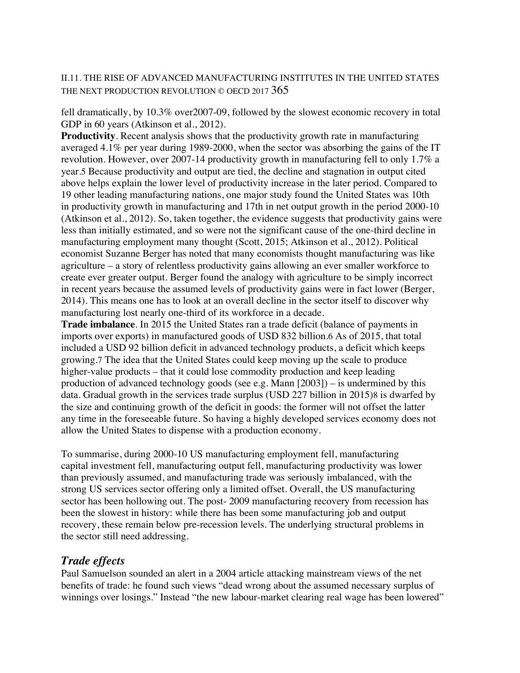#### II.11. THE RISE OF ADVANCED MANUFACTURING INSTITUTES IN THE UNITED STATES THE NEXT PRODUCTION REVOLUTION © OECD 2017 365

fell dramatically, by 10.3% over2007-09, followed by the slowest economic recovery in total GDP in 60 years (Atkinson et al., 2012).

**Productivity**. Recent analysis shows that the productivity growth rate in manufacturing averaged 4.1% per year during 1989-2000, when the sector was absorbing the gains of the IT revolution. However, over 2007-14 productivity growth in manufacturing fell to only 1.7% a year.5 Because productivity and output are tied, the decline and stagnation in output cited above helps explain the lower level of productivity increase in the later period. Compared to 19 other leading manufacturing nations, one major study found the United States was 10th in productivity growth in manufacturing and 17th in net output growth in the period 2000-10 (Atkinson et al., 2012). So, taken together, the evidence suggests that productivity gains were less than initially estimated, and so were not the significant cause of the one-third decline in manufacturing employment many thought (Scott, 2015; Atkinson et al., 2012). Political economist Suzanne Berger has noted that many economists thought manufacturing was like agriculture – a story of relentless productivity gains allowing an ever smaller workforce to create ever greater output. Berger found the analogy with agriculture to be simply incorrect in recent years because the assumed levels of productivity gains were in fact lower (Berger, 2014). This means one has to look at an overall decline in the sector itself to discover why manufacturing lost nearly one-third of its workforce in a decade.

**Trade imbalance**. In 2015 the United States ran a trade deficit (balance of payments in imports over exports) in manufactured goods of USD 832 billion.6 As of 2015, that total included a USD 92 billion deficit in advanced technology products, a deficit which keeps growing.7 The idea that the United States could keep moving up the scale to produce higher-value products – that it could lose commodity production and keep leading production of advanced technology goods (see e.g. Mann [2003]) – is undermined by this data. Gradual growth in the services trade surplus (USD 227 billion in 2015)8 is dwarfed by the size and continuing growth of the deficit in goods: the former will not offset the latter any time in the foreseeable future. So having a highly developed services economy does not allow the United States to dispense with a production economy.

To summarise, during 2000-10 US manufacturing employment fell, manufacturing capital investment fell, manufacturing output fell, manufacturing productivity was lower than previously assumed, and manufacturing trade was seriously imbalanced, with the strong US services sector offering only a limited offset. Overall, the US manufacturing sector has been hollowing out. The post- 2009 manufacturing recovery from recession has been the slowest in history: while there has been some manufacturing job and output recovery, these remain below pre-recession levels. The underlying structural problems in the sector still need addressing.

#### *Trade effects*

Paul Samuelson sounded an alert in a 2004 article attacking mainstream views of the net benefits of trade: he found such views "dead wrong about the assumed necessary surplus of winnings over losings." Instead "the new labour-market clearing real wage has been lowered"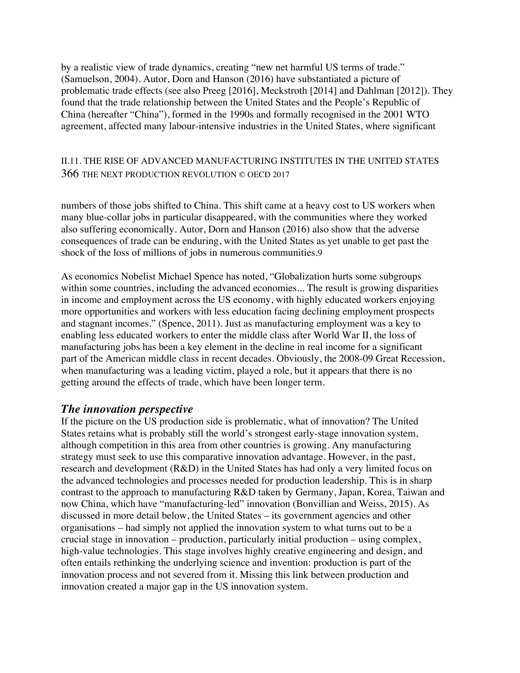by a realistic view of trade dynamics, creating "new net harmful US terms of trade." (Samuelson, 2004). Autor, Dorn and Hanson (2016) have substantiated a picture of problematic trade effects (see also Preeg [2016], Meckstroth [2014] and Dahlman [2012]). They found that the trade relationship between the United States and the People's Republic of China (hereafter "China"), formed in the 1990s and formally recognised in the 2001 WTO agreement, affected many labour-intensive industries in the United States, where significant

#### II.11. THE RISE OF ADVANCED MANUFACTURING INSTITUTES IN THE UNITED STATES 366 THE NEXT PRODUCTION REVOLUTION © OECD 2017

numbers of those jobs shifted to China. This shift came at a heavy cost to US workers when many blue-collar jobs in particular disappeared, with the communities where they worked also suffering economically. Autor, Dorn and Hanson (2016) also show that the adverse consequences of trade can be enduring, with the United States as yet unable to get past the shock of the loss of millions of jobs in numerous communities.9

As economics Nobelist Michael Spence has noted, "Globalization hurts some subgroups within some countries, including the advanced economies... The result is growing disparities in income and employment across the US economy, with highly educated workers enjoying more opportunities and workers with less education facing declining employment prospects and stagnant incomes." (Spence, 2011). Just as manufacturing employment was a key to enabling less educated workers to enter the middle class after World War II, the loss of manufacturing jobs has been a key element in the decline in real income for a significant part of the American middle class in recent decades. Obviously, the 2008-09 Great Recession, when manufacturing was a leading victim, played a role, but it appears that there is no getting around the effects of trade, which have been longer term.

#### *The innovation perspective*

If the picture on the US production side is problematic, what of innovation? The United States retains what is probably still the world's strongest early-stage innovation system, although competition in this area from other countries is growing. Any manufacturing strategy must seek to use this comparative innovation advantage. However, in the past, research and development (R&D) in the United States has had only a very limited focus on the advanced technologies and processes needed for production leadership. This is in sharp contrast to the approach to manufacturing R&D taken by Germany, Japan, Korea, Taiwan and now China, which have "manufacturing-led" innovation (Bonvillian and Weiss, 2015). As discussed in more detail below, the United States – its government agencies and other organisations – had simply not applied the innovation system to what turns out to be a crucial stage in innovation – production, particularly initial production – using complex, high-value technologies. This stage involves highly creative engineering and design, and often entails rethinking the underlying science and invention: production is part of the innovation process and not severed from it. Missing this link between production and innovation created a major gap in the US innovation system.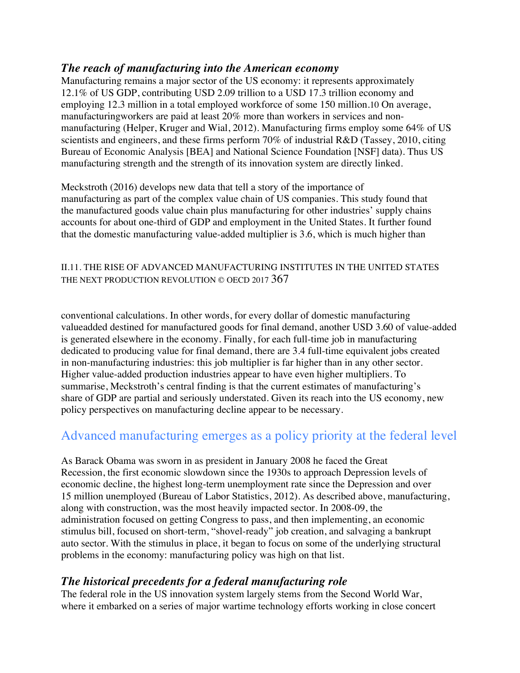#### *The reach of manufacturing into the American economy*

Manufacturing remains a major sector of the US economy: it represents approximately 12.1% of US GDP, contributing USD 2.09 trillion to a USD 17.3 trillion economy and employing 12.3 million in a total employed workforce of some 150 million.10 On average, manufacturingworkers are paid at least 20% more than workers in services and nonmanufacturing (Helper, Kruger and Wial, 2012). Manufacturing firms employ some 64% of US scientists and engineers, and these firms perform 70% of industrial R&D (Tassey, 2010, citing Bureau of Economic Analysis [BEA] and National Science Foundation [NSF] data). Thus US manufacturing strength and the strength of its innovation system are directly linked.

Meckstroth (2016) develops new data that tell a story of the importance of manufacturing as part of the complex value chain of US companies. This study found that the manufactured goods value chain plus manufacturing for other industries' supply chains accounts for about one-third of GDP and employment in the United States. It further found that the domestic manufacturing value-added multiplier is 3.6, which is much higher than

#### II.11. THE RISE OF ADVANCED MANUFACTURING INSTITUTES IN THE UNITED STATES THE NEXT PRODUCTION REVOLUTION © OECD 2017 367

conventional calculations. In other words, for every dollar of domestic manufacturing valueadded destined for manufactured goods for final demand, another USD 3.60 of value-added is generated elsewhere in the economy. Finally, for each full-time job in manufacturing dedicated to producing value for final demand, there are 3.4 full-time equivalent jobs created in non-manufacturing industries: this job multiplier is far higher than in any other sector. Higher value-added production industries appear to have even higher multipliers. To summarise, Meckstroth's central finding is that the current estimates of manufacturing's share of GDP are partial and seriously understated. Given its reach into the US economy, new policy perspectives on manufacturing decline appear to be necessary.

## Advanced manufacturing emerges as a policy priority at the federal level

As Barack Obama was sworn in as president in January 2008 he faced the Great Recession, the first economic slowdown since the 1930s to approach Depression levels of economic decline, the highest long-term unemployment rate since the Depression and over 15 million unemployed (Bureau of Labor Statistics, 2012). As described above, manufacturing, along with construction, was the most heavily impacted sector. In 2008-09, the administration focused on getting Congress to pass, and then implementing, an economic stimulus bill, focused on short-term, "shovel-ready" job creation, and salvaging a bankrupt auto sector. With the stimulus in place, it began to focus on some of the underlying structural problems in the economy: manufacturing policy was high on that list.

## *The historical precedents for a federal manufacturing role*

The federal role in the US innovation system largely stems from the Second World War, where it embarked on a series of major wartime technology efforts working in close concert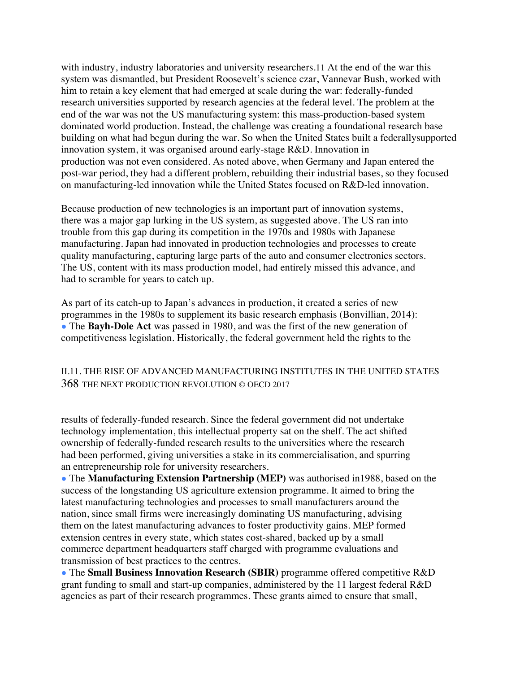with industry, industry laboratories and university researchers.11 At the end of the war this system was dismantled, but President Roosevelt's science czar, Vannevar Bush, worked with him to retain a key element that had emerged at scale during the war: federally-funded research universities supported by research agencies at the federal level. The problem at the end of the war was not the US manufacturing system: this mass-production-based system dominated world production. Instead, the challenge was creating a foundational research base building on what had begun during the war. So when the United States built a federallysupported innovation system, it was organised around early-stage R&D. Innovation in production was not even considered. As noted above, when Germany and Japan entered the post-war period, they had a different problem, rebuilding their industrial bases, so they focused on manufacturing-led innovation while the United States focused on R&D-led innovation.

Because production of new technologies is an important part of innovation systems, there was a major gap lurking in the US system, as suggested above. The US ran into trouble from this gap during its competition in the 1970s and 1980s with Japanese manufacturing. Japan had innovated in production technologies and processes to create quality manufacturing, capturing large parts of the auto and consumer electronics sectors. The US, content with its mass production model, had entirely missed this advance, and had to scramble for years to catch up.

As part of its catch-up to Japan's advances in production, it created a series of new programmes in the 1980s to supplement its basic research emphasis (Bonvillian, 2014): ! The **Bayh-Dole Act** was passed in 1980, and was the first of the new generation of competitiveness legislation. Historically, the federal government held the rights to the

#### II.11. THE RISE OF ADVANCED MANUFACTURING INSTITUTES IN THE UNITED STATES 368 THE NEXT PRODUCTION REVOLUTION © OECD 2017

results of federally-funded research. Since the federal government did not undertake technology implementation, this intellectual property sat on the shelf. The act shifted ownership of federally-funded research results to the universities where the research had been performed, giving universities a stake in its commercialisation, and spurring an entrepreneurship role for university researchers.

! The **Manufacturing Extension Partnership (MEP)** was authorised in1988, based on the success of the longstanding US agriculture extension programme. It aimed to bring the latest manufacturing technologies and processes to small manufacturers around the nation, since small firms were increasingly dominating US manufacturing, advising them on the latest manufacturing advances to foster productivity gains. MEP formed extension centres in every state, which states cost-shared, backed up by a small commerce department headquarters staff charged with programme evaluations and transmission of best practices to the centres.

! The **Small Business Innovation Research (SBIR)** programme offered competitive R&D grant funding to small and start-up companies, administered by the 11 largest federal R&D agencies as part of their research programmes. These grants aimed to ensure that small,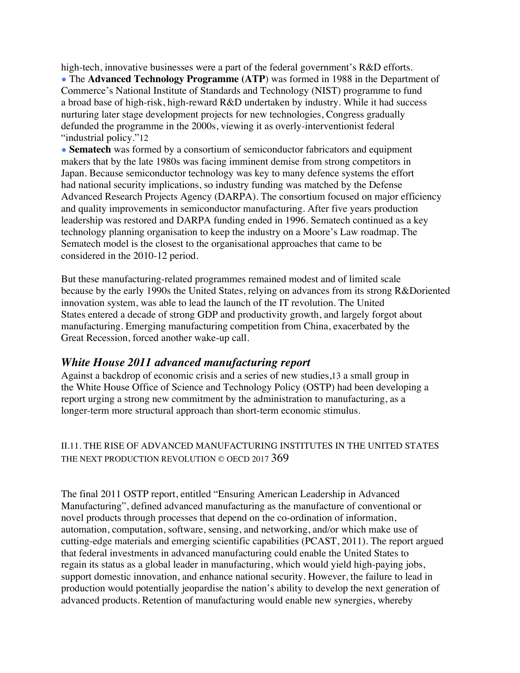high-tech, innovative businesses were a part of the federal government's R&D efforts. ! The **Advanced Technology Programme (ATP**) was formed in 1988 in the Department of Commerce's National Institute of Standards and Technology (NIST) programme to fund a broad base of high-risk, high-reward R&D undertaken by industry. While it had success nurturing later stage development projects for new technologies, Congress gradually defunded the programme in the 2000s, viewing it as overly-interventionist federal "industrial policy."12

! **Sematech** was formed by a consortium of semiconductor fabricators and equipment makers that by the late 1980s was facing imminent demise from strong competitors in Japan. Because semiconductor technology was key to many defence systems the effort had national security implications, so industry funding was matched by the Defense Advanced Research Projects Agency (DARPA). The consortium focused on major efficiency and quality improvements in semiconductor manufacturing. After five years production leadership was restored and DARPA funding ended in 1996. Sematech continued as a key technology planning organisation to keep the industry on a Moore's Law roadmap. The Sematech model is the closest to the organisational approaches that came to be considered in the 2010-12 period.

But these manufacturing-related programmes remained modest and of limited scale because by the early 1990s the United States, relying on advances from its strong R&Doriented innovation system, was able to lead the launch of the IT revolution. The United States entered a decade of strong GDP and productivity growth, and largely forgot about manufacturing. Emerging manufacturing competition from China, exacerbated by the Great Recession, forced another wake-up call.

#### *White House 2011 advanced manufacturing report*

Against a backdrop of economic crisis and a series of new studies,13 a small group in the White House Office of Science and Technology Policy (OSTP) had been developing a report urging a strong new commitment by the administration to manufacturing, as a longer-term more structural approach than short-term economic stimulus.

#### II.11. THE RISE OF ADVANCED MANUFACTURING INSTITUTES IN THE UNITED STATES THE NEXT PRODUCTION REVOLUTION © OECD 2017 369

The final 2011 OSTP report, entitled "Ensuring American Leadership in Advanced Manufacturing", defined advanced manufacturing as the manufacture of conventional or novel products through processes that depend on the co-ordination of information, automation, computation, software, sensing, and networking, and/or which make use of cutting-edge materials and emerging scientific capabilities (PCAST, 2011). The report argued that federal investments in advanced manufacturing could enable the United States to regain its status as a global leader in manufacturing, which would yield high-paying jobs, support domestic innovation, and enhance national security. However, the failure to lead in production would potentially jeopardise the nation's ability to develop the next generation of advanced products. Retention of manufacturing would enable new synergies, whereby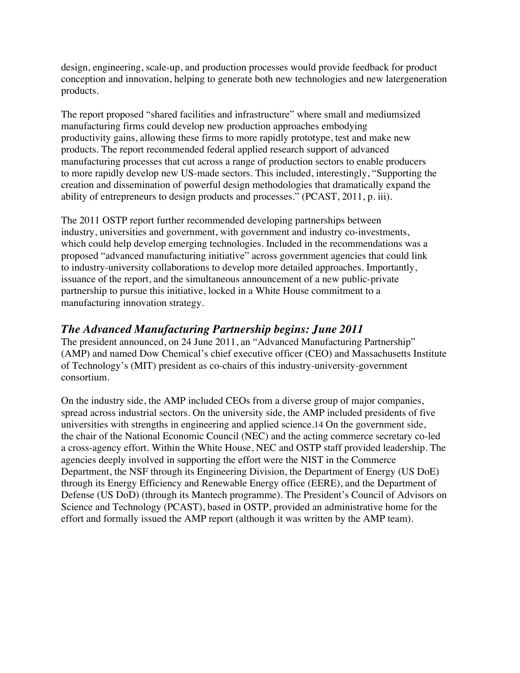design, engineering, scale-up, and production processes would provide feedback for product conception and innovation, helping to generate both new technologies and new latergeneration products.

The report proposed "shared facilities and infrastructure" where small and mediumsized manufacturing firms could develop new production approaches embodying productivity gains, allowing these firms to more rapidly prototype, test and make new products. The report recommended federal applied research support of advanced manufacturing processes that cut across a range of production sectors to enable producers to more rapidly develop new US-made sectors. This included, interestingly, "Supporting the creation and dissemination of powerful design methodologies that dramatically expand the ability of entrepreneurs to design products and processes." (PCAST, 2011, p. iii).

The 2011 OSTP report further recommended developing partnerships between industry, universities and government, with government and industry co-investments, which could help develop emerging technologies. Included in the recommendations was a proposed "advanced manufacturing initiative" across government agencies that could link to industry-university collaborations to develop more detailed approaches. Importantly, issuance of the report, and the simultaneous announcement of a new public-private partnership to pursue this initiative, locked in a White House commitment to a manufacturing innovation strategy.

## *The Advanced Manufacturing Partnership begins: June 2011*

The president announced, on 24 June 2011, an "Advanced Manufacturing Partnership" (AMP) and named Dow Chemical's chief executive officer (CEO) and Massachusetts Institute of Technology's (MIT) president as co-chairs of this industry-university-government consortium.

On the industry side, the AMP included CEOs from a diverse group of major companies, spread across industrial sectors. On the university side, the AMP included presidents of five universities with strengths in engineering and applied science.14 On the government side, the chair of the National Economic Council (NEC) and the acting commerce secretary co-led a cross-agency effort. Within the White House, NEC and OSTP staff provided leadership. The agencies deeply involved in supporting the effort were the NIST in the Commerce Department, the NSF through its Engineering Division, the Department of Energy (US DoE) through its Energy Efficiency and Renewable Energy office (EERE), and the Department of Defense (US DoD) (through its Mantech programme). The President's Council of Advisors on Science and Technology (PCAST), based in OSTP, provided an administrative home for the effort and formally issued the AMP report (although it was written by the AMP team).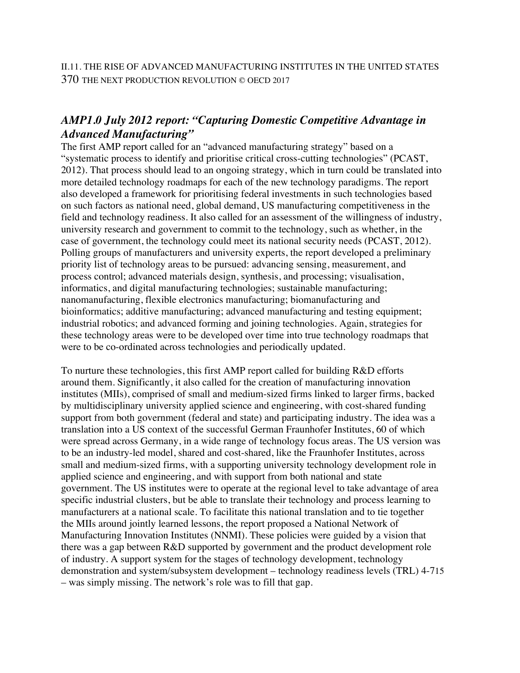#### II.11. THE RISE OF ADVANCED MANUFACTURING INSTITUTES IN THE UNITED STATES 370 THE NEXT PRODUCTION REVOLUTION © OECD 2017

### *AMP1.0 July 2012 report: "Capturing Domestic Competitive Advantage in Advanced Manufacturing"*

The first AMP report called for an "advanced manufacturing strategy" based on a "systematic process to identify and prioritise critical cross-cutting technologies" (PCAST, 2012). That process should lead to an ongoing strategy, which in turn could be translated into more detailed technology roadmaps for each of the new technology paradigms. The report also developed a framework for prioritising federal investments in such technologies based on such factors as national need, global demand, US manufacturing competitiveness in the field and technology readiness. It also called for an assessment of the willingness of industry, university research and government to commit to the technology, such as whether, in the case of government, the technology could meet its national security needs (PCAST, 2012). Polling groups of manufacturers and university experts, the report developed a preliminary priority list of technology areas to be pursued: advancing sensing, measurement, and process control; advanced materials design, synthesis, and processing; visualisation, informatics, and digital manufacturing technologies; sustainable manufacturing; nanomanufacturing, flexible electronics manufacturing; biomanufacturing and bioinformatics; additive manufacturing; advanced manufacturing and testing equipment; industrial robotics; and advanced forming and joining technologies. Again, strategies for these technology areas were to be developed over time into true technology roadmaps that were to be co-ordinated across technologies and periodically updated.

To nurture these technologies, this first AMP report called for building R&D efforts around them. Significantly, it also called for the creation of manufacturing innovation institutes (MIIs), comprised of small and medium-sized firms linked to larger firms, backed by multidisciplinary university applied science and engineering, with cost-shared funding support from both government (federal and state) and participating industry. The idea was a translation into a US context of the successful German Fraunhofer Institutes, 60 of which were spread across Germany, in a wide range of technology focus areas. The US version was to be an industry-led model, shared and cost-shared, like the Fraunhofer Institutes, across small and medium-sized firms, with a supporting university technology development role in applied science and engineering, and with support from both national and state government. The US institutes were to operate at the regional level to take advantage of area specific industrial clusters, but be able to translate their technology and process learning to manufacturers at a national scale. To facilitate this national translation and to tie together the MIIs around jointly learned lessons, the report proposed a National Network of Manufacturing Innovation Institutes (NNMI). These policies were guided by a vision that there was a gap between R&D supported by government and the product development role of industry. A support system for the stages of technology development, technology demonstration and system/subsystem development – technology readiness levels (TRL) 4-715 – was simply missing. The network's role was to fill that gap.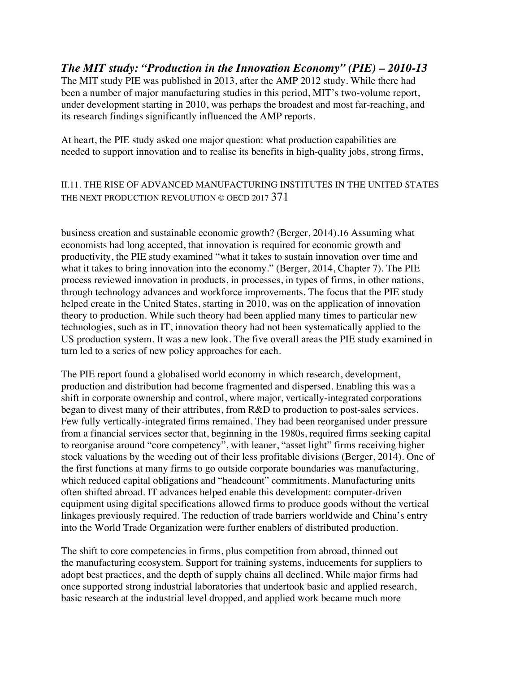*The MIT study: "Production in the Innovation Economy" (PIE) – 2010-13* The MIT study PIE was published in 2013, after the AMP 2012 study. While there had been a number of major manufacturing studies in this period, MIT's two-volume report, under development starting in 2010, was perhaps the broadest and most far-reaching, and its research findings significantly influenced the AMP reports.

At heart, the PIE study asked one major question: what production capabilities are needed to support innovation and to realise its benefits in high-quality jobs, strong firms,

#### II.11. THE RISE OF ADVANCED MANUFACTURING INSTITUTES IN THE UNITED STATES THE NEXT PRODUCTION REVOLUTION © OECD 2017 371

business creation and sustainable economic growth? (Berger, 2014).16 Assuming what economists had long accepted, that innovation is required for economic growth and productivity, the PIE study examined "what it takes to sustain innovation over time and what it takes to bring innovation into the economy." (Berger, 2014, Chapter 7). The PIE process reviewed innovation in products, in processes, in types of firms, in other nations, through technology advances and workforce improvements. The focus that the PIE study helped create in the United States, starting in 2010, was on the application of innovation theory to production. While such theory had been applied many times to particular new technologies, such as in IT, innovation theory had not been systematically applied to the US production system. It was a new look. The five overall areas the PIE study examined in turn led to a series of new policy approaches for each.

The PIE report found a globalised world economy in which research, development, production and distribution had become fragmented and dispersed. Enabling this was a shift in corporate ownership and control, where major, vertically-integrated corporations began to divest many of their attributes, from R&D to production to post-sales services. Few fully vertically-integrated firms remained. They had been reorganised under pressure from a financial services sector that, beginning in the 1980s, required firms seeking capital to reorganise around "core competency", with leaner, "asset light" firms receiving higher stock valuations by the weeding out of their less profitable divisions (Berger, 2014). One of the first functions at many firms to go outside corporate boundaries was manufacturing, which reduced capital obligations and "headcount" commitments. Manufacturing units often shifted abroad. IT advances helped enable this development: computer-driven equipment using digital specifications allowed firms to produce goods without the vertical linkages previously required. The reduction of trade barriers worldwide and China's entry into the World Trade Organization were further enablers of distributed production.

The shift to core competencies in firms, plus competition from abroad, thinned out the manufacturing ecosystem. Support for training systems, inducements for suppliers to adopt best practices, and the depth of supply chains all declined. While major firms had once supported strong industrial laboratories that undertook basic and applied research, basic research at the industrial level dropped, and applied work became much more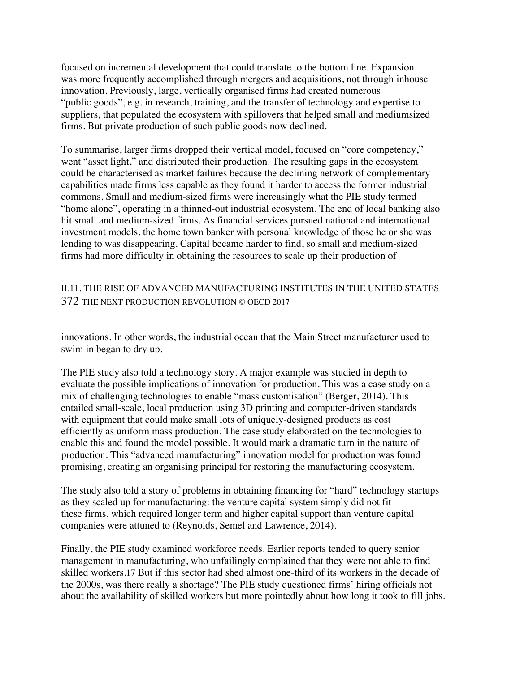focused on incremental development that could translate to the bottom line. Expansion was more frequently accomplished through mergers and acquisitions, not through inhouse innovation. Previously, large, vertically organised firms had created numerous "public goods", e.g. in research, training, and the transfer of technology and expertise to suppliers, that populated the ecosystem with spillovers that helped small and mediumsized firms. But private production of such public goods now declined.

To summarise, larger firms dropped their vertical model, focused on "core competency," went "asset light," and distributed their production. The resulting gaps in the ecosystem could be characterised as market failures because the declining network of complementary capabilities made firms less capable as they found it harder to access the former industrial commons. Small and medium-sized firms were increasingly what the PIE study termed "home alone", operating in a thinned-out industrial ecosystem. The end of local banking also hit small and medium-sized firms. As financial services pursued national and international investment models, the home town banker with personal knowledge of those he or she was lending to was disappearing. Capital became harder to find, so small and medium-sized firms had more difficulty in obtaining the resources to scale up their production of

#### II.11. THE RISE OF ADVANCED MANUFACTURING INSTITUTES IN THE UNITED STATES 372 THE NEXT PRODUCTION REVOLUTION © OECD 2017

innovations. In other words, the industrial ocean that the Main Street manufacturer used to swim in began to dry up.

The PIE study also told a technology story. A major example was studied in depth to evaluate the possible implications of innovation for production. This was a case study on a mix of challenging technologies to enable "mass customisation" (Berger, 2014). This entailed small-scale, local production using 3D printing and computer-driven standards with equipment that could make small lots of uniquely-designed products as cost efficiently as uniform mass production. The case study elaborated on the technologies to enable this and found the model possible. It would mark a dramatic turn in the nature of production. This "advanced manufacturing" innovation model for production was found promising, creating an organising principal for restoring the manufacturing ecosystem.

The study also told a story of problems in obtaining financing for "hard" technology startups as they scaled up for manufacturing: the venture capital system simply did not fit these firms, which required longer term and higher capital support than venture capital companies were attuned to (Reynolds, Semel and Lawrence, 2014).

Finally, the PIE study examined workforce needs. Earlier reports tended to query senior management in manufacturing, who unfailingly complained that they were not able to find skilled workers.17 But if this sector had shed almost one-third of its workers in the decade of the 2000s, was there really a shortage? The PIE study questioned firms' hiring officials not about the availability of skilled workers but more pointedly about how long it took to fill jobs.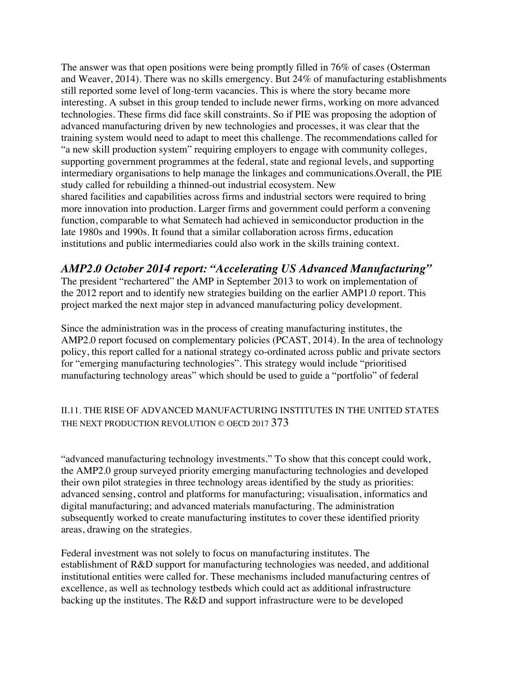The answer was that open positions were being promptly filled in 76% of cases (Osterman and Weaver, 2014). There was no skills emergency. But 24% of manufacturing establishments still reported some level of long-term vacancies. This is where the story became more interesting. A subset in this group tended to include newer firms, working on more advanced technologies. These firms did face skill constraints. So if PIE was proposing the adoption of advanced manufacturing driven by new technologies and processes, it was clear that the training system would need to adapt to meet this challenge. The recommendations called for "a new skill production system" requiring employers to engage with community colleges, supporting government programmes at the federal, state and regional levels, and supporting intermediary organisations to help manage the linkages and communications.Overall, the PIE study called for rebuilding a thinned-out industrial ecosystem. New shared facilities and capabilities across firms and industrial sectors were required to bring more innovation into production. Larger firms and government could perform a convening function, comparable to what Sematech had achieved in semiconductor production in the late 1980s and 1990s. It found that a similar collaboration across firms, education institutions and public intermediaries could also work in the skills training context.

#### *AMP2.0 October 2014 report: "Accelerating US Advanced Manufacturing"*

The president "rechartered" the AMP in September 2013 to work on implementation of the 2012 report and to identify new strategies building on the earlier AMP1.0 report. This project marked the next major step in advanced manufacturing policy development.

Since the administration was in the process of creating manufacturing institutes, the AMP2.0 report focused on complementary policies (PCAST, 2014). In the area of technology policy, this report called for a national strategy co-ordinated across public and private sectors for "emerging manufacturing technologies". This strategy would include "prioritised manufacturing technology areas" which should be used to guide a "portfolio" of federal

#### II.11. THE RISE OF ADVANCED MANUFACTURING INSTITUTES IN THE UNITED STATES THE NEXT PRODUCTION REVOLUTION © OECD 2017 373

"advanced manufacturing technology investments." To show that this concept could work, the AMP2.0 group surveyed priority emerging manufacturing technologies and developed their own pilot strategies in three technology areas identified by the study as priorities: advanced sensing, control and platforms for manufacturing; visualisation, informatics and digital manufacturing; and advanced materials manufacturing. The administration subsequently worked to create manufacturing institutes to cover these identified priority areas, drawing on the strategies.

Federal investment was not solely to focus on manufacturing institutes. The establishment of R&D support for manufacturing technologies was needed, and additional institutional entities were called for. These mechanisms included manufacturing centres of excellence, as well as technology testbeds which could act as additional infrastructure backing up the institutes. The R&D and support infrastructure were to be developed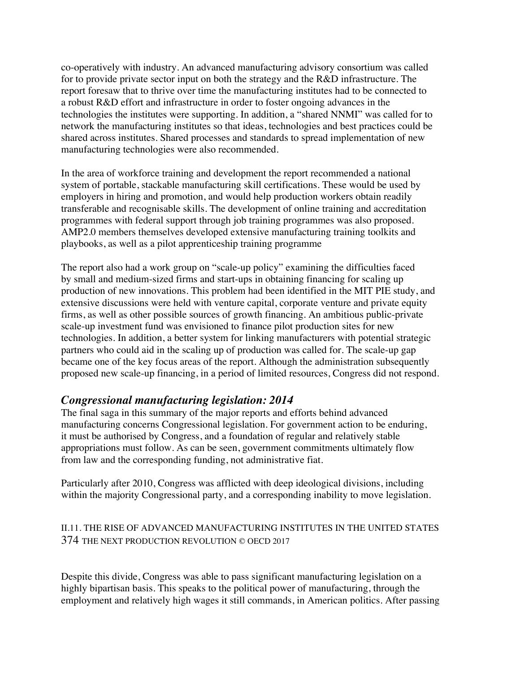co-operatively with industry. An advanced manufacturing advisory consortium was called for to provide private sector input on both the strategy and the R&D infrastructure. The report foresaw that to thrive over time the manufacturing institutes had to be connected to a robust R&D effort and infrastructure in order to foster ongoing advances in the technologies the institutes were supporting. In addition, a "shared NNMI" was called for to network the manufacturing institutes so that ideas, technologies and best practices could be shared across institutes. Shared processes and standards to spread implementation of new manufacturing technologies were also recommended.

In the area of workforce training and development the report recommended a national system of portable, stackable manufacturing skill certifications. These would be used by employers in hiring and promotion, and would help production workers obtain readily transferable and recognisable skills. The development of online training and accreditation programmes with federal support through job training programmes was also proposed. AMP2.0 members themselves developed extensive manufacturing training toolkits and playbooks, as well as a pilot apprenticeship training programme

The report also had a work group on "scale-up policy" examining the difficulties faced by small and medium-sized firms and start-ups in obtaining financing for scaling up production of new innovations. This problem had been identified in the MIT PIE study, and extensive discussions were held with venture capital, corporate venture and private equity firms, as well as other possible sources of growth financing. An ambitious public-private scale-up investment fund was envisioned to finance pilot production sites for new technologies. In addition, a better system for linking manufacturers with potential strategic partners who could aid in the scaling up of production was called for. The scale-up gap became one of the key focus areas of the report. Although the administration subsequently proposed new scale-up financing, in a period of limited resources, Congress did not respond.

#### *Congressional manufacturing legislation: 2014*

The final saga in this summary of the major reports and efforts behind advanced manufacturing concerns Congressional legislation. For government action to be enduring, it must be authorised by Congress, and a foundation of regular and relatively stable appropriations must follow. As can be seen, government commitments ultimately flow from law and the corresponding funding, not administrative fiat.

Particularly after 2010, Congress was afflicted with deep ideological divisions, including within the majority Congressional party, and a corresponding inability to move legislation.

#### II.11. THE RISE OF ADVANCED MANUFACTURING INSTITUTES IN THE UNITED STATES 374 THE NEXT PRODUCTION REVOLUTION © OECD 2017

Despite this divide, Congress was able to pass significant manufacturing legislation on a highly bipartisan basis. This speaks to the political power of manufacturing, through the employment and relatively high wages it still commands, in American politics. After passing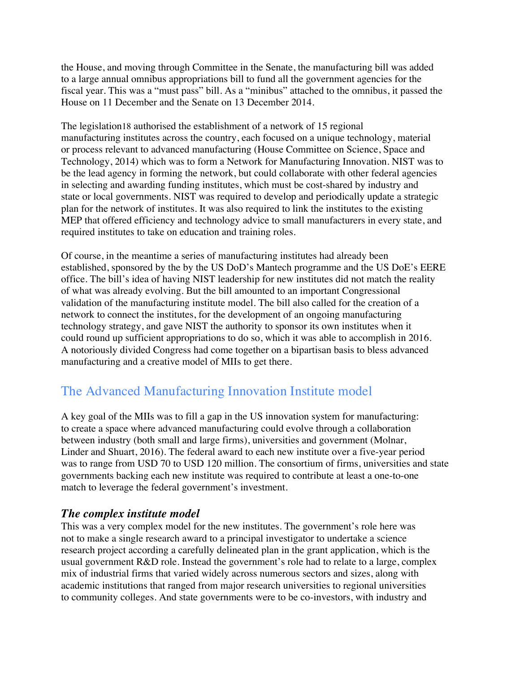the House, and moving through Committee in the Senate, the manufacturing bill was added to a large annual omnibus appropriations bill to fund all the government agencies for the fiscal year. This was a "must pass" bill. As a "minibus" attached to the omnibus, it passed the House on 11 December and the Senate on 13 December 2014.

The legislation18 authorised the establishment of a network of 15 regional manufacturing institutes across the country, each focused on a unique technology, material or process relevant to advanced manufacturing (House Committee on Science, Space and Technology, 2014) which was to form a Network for Manufacturing Innovation. NIST was to be the lead agency in forming the network, but could collaborate with other federal agencies in selecting and awarding funding institutes, which must be cost-shared by industry and state or local governments. NIST was required to develop and periodically update a strategic plan for the network of institutes. It was also required to link the institutes to the existing MEP that offered efficiency and technology advice to small manufacturers in every state, and required institutes to take on education and training roles.

Of course, in the meantime a series of manufacturing institutes had already been established, sponsored by the by the US DoD's Mantech programme and the US DoE's EERE office. The bill's idea of having NIST leadership for new institutes did not match the reality of what was already evolving. But the bill amounted to an important Congressional validation of the manufacturing institute model. The bill also called for the creation of a network to connect the institutes, for the development of an ongoing manufacturing technology strategy, and gave NIST the authority to sponsor its own institutes when it could round up sufficient appropriations to do so, which it was able to accomplish in 2016. A notoriously divided Congress had come together on a bipartisan basis to bless advanced manufacturing and a creative model of MIIs to get there.

## The Advanced Manufacturing Innovation Institute model

A key goal of the MIIs was to fill a gap in the US innovation system for manufacturing: to create a space where advanced manufacturing could evolve through a collaboration between industry (both small and large firms), universities and government (Molnar, Linder and Shuart, 2016). The federal award to each new institute over a five-year period was to range from USD 70 to USD 120 million. The consortium of firms, universities and state governments backing each new institute was required to contribute at least a one-to-one match to leverage the federal government's investment.

## *The complex institute model*

This was a very complex model for the new institutes. The government's role here was not to make a single research award to a principal investigator to undertake a science research project according a carefully delineated plan in the grant application, which is the usual government R&D role. Instead the government's role had to relate to a large, complex mix of industrial firms that varied widely across numerous sectors and sizes, along with academic institutions that ranged from major research universities to regional universities to community colleges. And state governments were to be co-investors, with industry and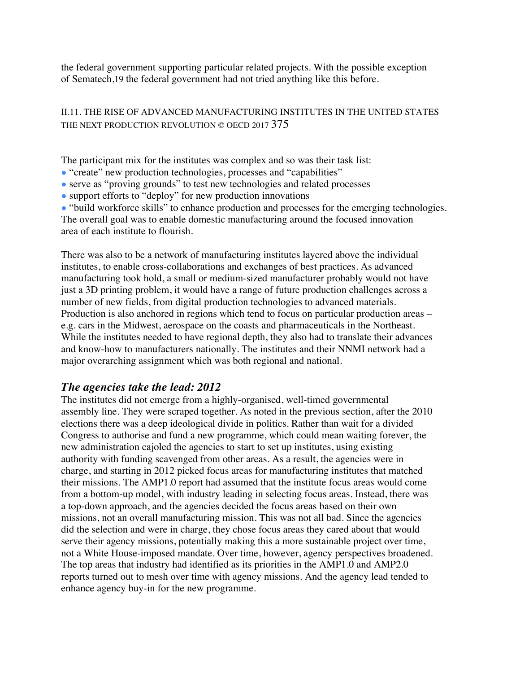the federal government supporting particular related projects. With the possible exception of Sematech,19 the federal government had not tried anything like this before.

#### II.11. THE RISE OF ADVANCED MANUFACTURING INSTITUTES IN THE UNITED STATES THE NEXT PRODUCTION REVOLUTION © OECD 2017 375

The participant mix for the institutes was complex and so was their task list:

- ! "create" new production technologies, processes and "capabilities"
- serve as "proving grounds" to test new technologies and related processes
- support efforts to "deploy" for new production innovations

! "build workforce skills" to enhance production and processes for the emerging technologies. The overall goal was to enable domestic manufacturing around the focused innovation area of each institute to flourish.

There was also to be a network of manufacturing institutes layered above the individual institutes, to enable cross-collaborations and exchanges of best practices. As advanced manufacturing took hold, a small or medium-sized manufacturer probably would not have just a 3D printing problem, it would have a range of future production challenges across a number of new fields, from digital production technologies to advanced materials. Production is also anchored in regions which tend to focus on particular production areas – e.g. cars in the Midwest, aerospace on the coasts and pharmaceuticals in the Northeast. While the institutes needed to have regional depth, they also had to translate their advances and know-how to manufacturers nationally. The institutes and their NNMI network had a major overarching assignment which was both regional and national.

#### *The agencies take the lead: 2012*

The institutes did not emerge from a highly-organised, well-timed governmental assembly line. They were scraped together. As noted in the previous section, after the 2010 elections there was a deep ideological divide in politics. Rather than wait for a divided Congress to authorise and fund a new programme, which could mean waiting forever, the new administration cajoled the agencies to start to set up institutes, using existing authority with funding scavenged from other areas. As a result, the agencies were in charge, and starting in 2012 picked focus areas for manufacturing institutes that matched their missions. The AMP1.0 report had assumed that the institute focus areas would come from a bottom-up model, with industry leading in selecting focus areas. Instead, there was a top-down approach, and the agencies decided the focus areas based on their own missions, not an overall manufacturing mission. This was not all bad. Since the agencies did the selection and were in charge, they chose focus areas they cared about that would serve their agency missions, potentially making this a more sustainable project over time, not a White House-imposed mandate. Over time, however, agency perspectives broadened. The top areas that industry had identified as its priorities in the AMP1.0 and AMP2.0 reports turned out to mesh over time with agency missions. And the agency lead tended to enhance agency buy-in for the new programme.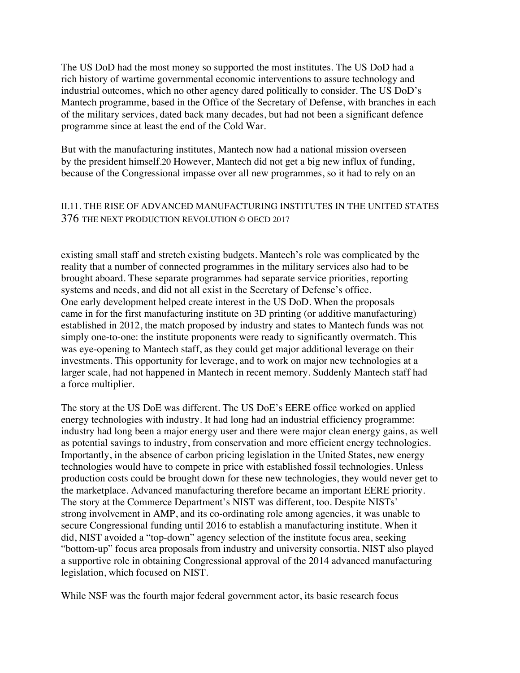The US DoD had the most money so supported the most institutes. The US DoD had a rich history of wartime governmental economic interventions to assure technology and industrial outcomes, which no other agency dared politically to consider. The US DoD's Mantech programme, based in the Office of the Secretary of Defense, with branches in each of the military services, dated back many decades, but had not been a significant defence programme since at least the end of the Cold War.

But with the manufacturing institutes, Mantech now had a national mission overseen by the president himself.20 However, Mantech did not get a big new influx of funding, because of the Congressional impasse over all new programmes, so it had to rely on an

#### II.11. THE RISE OF ADVANCED MANUFACTURING INSTITUTES IN THE UNITED STATES 376 THE NEXT PRODUCTION REVOLUTION © OECD 2017

existing small staff and stretch existing budgets. Mantech's role was complicated by the reality that a number of connected programmes in the military services also had to be brought aboard. These separate programmes had separate service priorities, reporting systems and needs, and did not all exist in the Secretary of Defense's office. One early development helped create interest in the US DoD. When the proposals came in for the first manufacturing institute on 3D printing (or additive manufacturing) established in 2012, the match proposed by industry and states to Mantech funds was not simply one-to-one: the institute proponents were ready to significantly overmatch. This was eye-opening to Mantech staff, as they could get major additional leverage on their investments. This opportunity for leverage, and to work on major new technologies at a larger scale, had not happened in Mantech in recent memory. Suddenly Mantech staff had a force multiplier.

The story at the US DoE was different. The US DoE's EERE office worked on applied energy technologies with industry. It had long had an industrial efficiency programme: industry had long been a major energy user and there were major clean energy gains, as well as potential savings to industry, from conservation and more efficient energy technologies. Importantly, in the absence of carbon pricing legislation in the United States, new energy technologies would have to compete in price with established fossil technologies. Unless production costs could be brought down for these new technologies, they would never get to the marketplace. Advanced manufacturing therefore became an important EERE priority. The story at the Commerce Department's NIST was different, too. Despite NISTs' strong involvement in AMP, and its co-ordinating role among agencies, it was unable to secure Congressional funding until 2016 to establish a manufacturing institute. When it did, NIST avoided a "top-down" agency selection of the institute focus area, seeking "bottom-up" focus area proposals from industry and university consortia. NIST also played a supportive role in obtaining Congressional approval of the 2014 advanced manufacturing legislation, which focused on NIST.

While NSF was the fourth major federal government actor, its basic research focus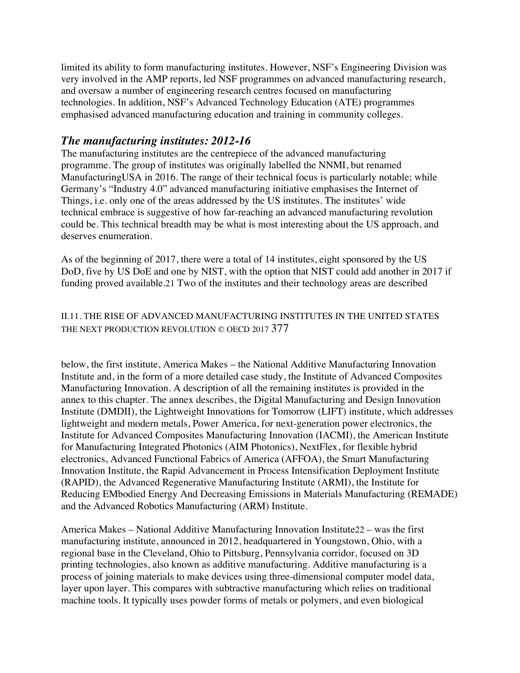limited its ability to form manufacturing institutes. However, NSF's Engineering Division was very involved in the AMP reports, led NSF programmes on advanced manufacturing research, and oversaw a number of engineering research centres focused on manufacturing technologies. In addition, NSF's Advanced Technology Education (ATE) programmes emphasised advanced manufacturing education and training in community colleges.

#### *The manufacturing institutes: 2012-16*

The manufacturing institutes are the centrepiece of the advanced manufacturing programme. The group of institutes was originally labelled the NNMI, but renamed ManufacturingUSA in 2016. The range of their technical focus is particularly notable; while Germany's "Industry 4.0" advanced manufacturing initiative emphasises the Internet of Things, i.e. only one of the areas addressed by the US institutes. The institutes' wide technical embrace is suggestive of how far-reaching an advanced manufacturing revolution could be. This technical breadth may be what is most interesting about the US approach, and deserves enumeration.

As of the beginning of 2017, there were a total of 14 institutes, eight sponsored by the US DoD, five by US DoE and one by NIST, with the option that NIST could add another in 2017 if funding proved available.21 Two of the institutes and their technology areas are described

#### II.11. THE RISE OF ADVANCED MANUFACTURING INSTITUTES IN THE UNITED STATES THE NEXT PRODUCTION REVOLUTION © OECD 2017 377

below, the first institute, America Makes – the National Additive Manufacturing Innovation Institute and, in the form of a more detailed case study, the Institute of Advanced Composites Manufacturing Innovation. A description of all the remaining institutes is provided in the annex to this chapter. The annex describes, the Digital Manufacturing and Design Innovation Institute (DMDII), the Lightweight Innovations for Tomorrow (LIFT) institute, which addresses lightweight and modern metals, Power America, for next-generation power electronics, the Institute for Advanced Composites Manufacturing Innovation (IACMI), the American Institute for Manufacturing Integrated Photonics (AIM Photonics), NextFlex, for flexible hybrid electronics, Advanced Functional Fabrics of America (AFFOA), the Smart Manufacturing Innovation Institute, the Rapid Advancement in Process Intensification Deployment Institute (RAPID), the Advanced Regenerative Manufacturing Institute (ARMI), the Institute for Reducing EMbodied Energy And Decreasing Emissions in Materials Manufacturing (REMADE) and the Advanced Robotics Manufacturing (ARM) Institute.

America Makes – National Additive Manufacturing Innovation Institute22 – was the first manufacturing institute, announced in 2012, headquartered in Youngstown, Ohio, with a regional base in the Cleveland, Ohio to Pittsburg, Pennsylvania corridor, focused on 3D printing technologies, also known as additive manufacturing. Additive manufacturing is a process of joining materials to make devices using three-dimensional computer model data, layer upon layer. This compares with subtractive manufacturing which relies on traditional machine tools. It typically uses powder forms of metals or polymers, and even biological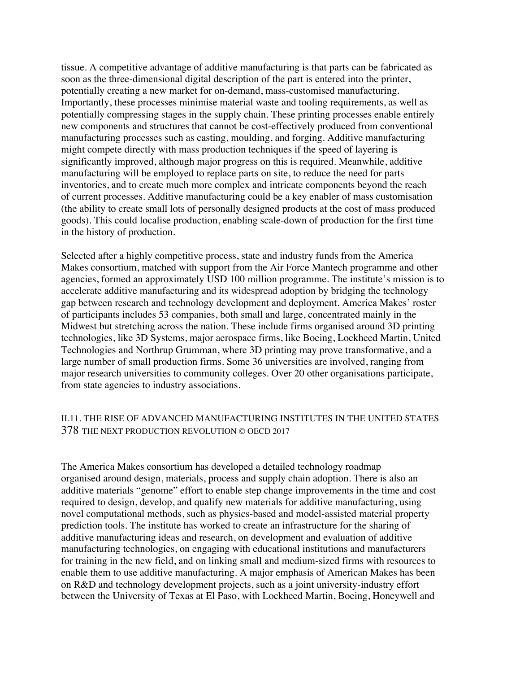tissue. A competitive advantage of additive manufacturing is that parts can be fabricated as soon as the three-dimensional digital description of the part is entered into the printer, potentially creating a new market for on-demand, mass-customised manufacturing. Importantly, these processes minimise material waste and tooling requirements, as well as potentially compressing stages in the supply chain. These printing processes enable entirely new components and structures that cannot be cost-effectively produced from conventional manufacturing processes such as casting, moulding, and forging. Additive manufacturing might compete directly with mass production techniques if the speed of layering is significantly improved, although major progress on this is required. Meanwhile, additive manufacturing will be employed to replace parts on site, to reduce the need for parts inventories, and to create much more complex and intricate components beyond the reach of current processes. Additive manufacturing could be a key enabler of mass customisation (the ability to create small lots of personally designed products at the cost of mass produced goods). This could localise production, enabling scale-down of production for the first time in the history of production.

Selected after a highly competitive process, state and industry funds from the America Makes consortium, matched with support from the Air Force Mantech programme and other agencies, formed an approximately USD 100 million programme. The institute's mission is to accelerate additive manufacturing and its widespread adoption by bridging the technology gap between research and technology development and deployment. America Makes' roster of participants includes 53 companies, both small and large, concentrated mainly in the Midwest but stretching across the nation. These include firms organised around 3D printing technologies, like 3D Systems, major aerospace firms, like Boeing, Lockheed Martin, United Technologies and Northrup Grumman, where 3D printing may prove transformative, and a large number of small production firms. Some 36 universities are involved, ranging from major research universities to community colleges. Over 20 other organisations participate, from state agencies to industry associations.

#### II.11. THE RISE OF ADVANCED MANUFACTURING INSTITUTES IN THE UNITED STATES 378 THE NEXT PRODUCTION REVOLUTION © OECD 2017

The America Makes consortium has developed a detailed technology roadmap organised around design, materials, process and supply chain adoption. There is also an additive materials "genome" effort to enable step change improvements in the time and cost required to design, develop, and qualify new materials for additive manufacturing, using novel computational methods, such as physics-based and model-assisted material property prediction tools. The institute has worked to create an infrastructure for the sharing of additive manufacturing ideas and research, on development and evaluation of additive manufacturing technologies, on engaging with educational institutions and manufacturers for training in the new field, and on linking small and medium-sized firms with resources to enable them to use additive manufacturing. A major emphasis of American Makes has been on R&D and technology development projects, such as a joint university-industry effort between the University of Texas at El Paso, with Lockheed Martin, Boeing, Honeywell and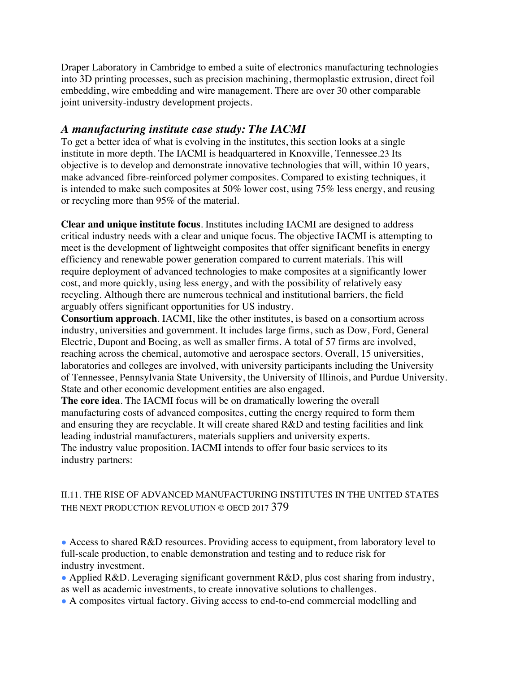Draper Laboratory in Cambridge to embed a suite of electronics manufacturing technologies into 3D printing processes, such as precision machining, thermoplastic extrusion, direct foil embedding, wire embedding and wire management. There are over 30 other comparable joint university-industry development projects.

#### *A manufacturing institute case study: The IACMI*

To get a better idea of what is evolving in the institutes, this section looks at a single institute in more depth. The IACMI is headquartered in Knoxville, Tennessee.23 Its objective is to develop and demonstrate innovative technologies that will, within 10 years, make advanced fibre-reinforced polymer composites. Compared to existing techniques, it is intended to make such composites at 50% lower cost, using 75% less energy, and reusing or recycling more than 95% of the material.

**Clear and unique institute focus**. Institutes including IACMI are designed to address critical industry needs with a clear and unique focus. The objective IACMI is attempting to meet is the development of lightweight composites that offer significant benefits in energy efficiency and renewable power generation compared to current materials. This will require deployment of advanced technologies to make composites at a significantly lower cost, and more quickly, using less energy, and with the possibility of relatively easy recycling. Although there are numerous technical and institutional barriers, the field arguably offers significant opportunities for US industry.

**Consortium approach**. IACMI, like the other institutes, is based on a consortium across industry, universities and government. It includes large firms, such as Dow, Ford, General Electric, Dupont and Boeing, as well as smaller firms. A total of 57 firms are involved, reaching across the chemical, automotive and aerospace sectors. Overall, 15 universities, laboratories and colleges are involved, with university participants including the University of Tennessee, Pennsylvania State University, the University of Illinois, and Purdue University. State and other economic development entities are also engaged.

**The core idea**. The IACMI focus will be on dramatically lowering the overall manufacturing costs of advanced composites, cutting the energy required to form them and ensuring they are recyclable. It will create shared R&D and testing facilities and link leading industrial manufacturers, materials suppliers and university experts. The industry value proposition. IACMI intends to offer four basic services to its industry partners:

#### II.11. THE RISE OF ADVANCED MANUFACTURING INSTITUTES IN THE UNITED STATES THE NEXT PRODUCTION REVOLUTION © OECD 2017 379

! Access to shared R&D resources. Providing access to equipment, from laboratory level to full-scale production, to enable demonstration and testing and to reduce risk for industry investment.

- ! Applied R&D. Leveraging significant government R&D, plus cost sharing from industry, as well as academic investments, to create innovative solutions to challenges.
- ! A composites virtual factory. Giving access to end-to-end commercial modelling and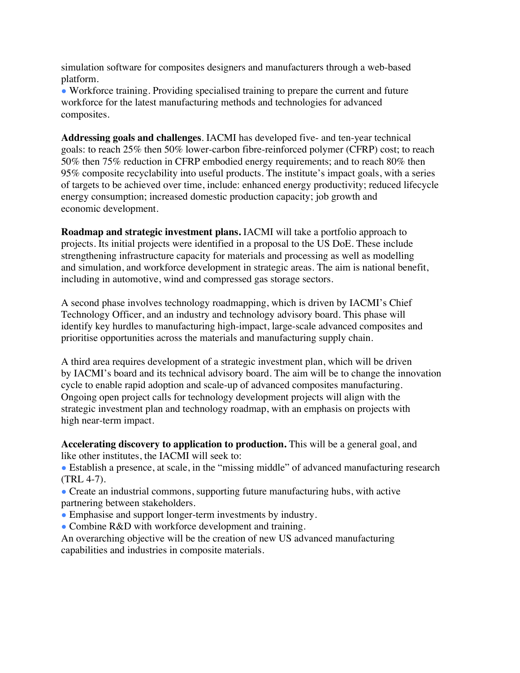simulation software for composites designers and manufacturers through a web-based platform.

! Workforce training. Providing specialised training to prepare the current and future workforce for the latest manufacturing methods and technologies for advanced composites.

**Addressing goals and challenges**. IACMI has developed five- and ten-year technical goals: to reach 25% then 50% lower-carbon fibre-reinforced polymer (CFRP) cost; to reach 50% then 75% reduction in CFRP embodied energy requirements; and to reach 80% then 95% composite recyclability into useful products. The institute's impact goals, with a series of targets to be achieved over time, include: enhanced energy productivity; reduced lifecycle energy consumption; increased domestic production capacity; job growth and economic development.

**Roadmap and strategic investment plans.** IACMI will take a portfolio approach to projects. Its initial projects were identified in a proposal to the US DoE. These include strengthening infrastructure capacity for materials and processing as well as modelling and simulation, and workforce development in strategic areas. The aim is national benefit, including in automotive, wind and compressed gas storage sectors.

A second phase involves technology roadmapping, which is driven by IACMI's Chief Technology Officer, and an industry and technology advisory board. This phase will identify key hurdles to manufacturing high-impact, large-scale advanced composites and prioritise opportunities across the materials and manufacturing supply chain.

A third area requires development of a strategic investment plan, which will be driven by IACMI's board and its technical advisory board. The aim will be to change the innovation cycle to enable rapid adoption and scale-up of advanced composites manufacturing. Ongoing open project calls for technology development projects will align with the strategic investment plan and technology roadmap, with an emphasis on projects with high near-term impact.

**Accelerating discovery to application to production.** This will be a general goal, and like other institutes, the IACMI will seek to:

! Establish a presence, at scale, in the "missing middle" of advanced manufacturing research (TRL 4-7).

• Create an industrial commons, supporting future manufacturing hubs, with active partnering between stakeholders.

- Emphasise and support longer-term investments by industry.
- Combine R&D with workforce development and training.

An overarching objective will be the creation of new US advanced manufacturing capabilities and industries in composite materials.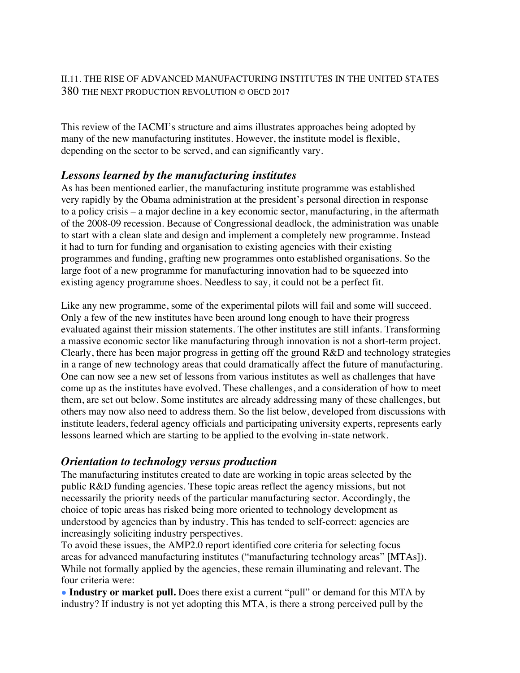#### II.11. THE RISE OF ADVANCED MANUFACTURING INSTITUTES IN THE UNITED STATES 380 THE NEXT PRODUCTION REVOLUTION © OECD 2017

This review of the IACMI's structure and aims illustrates approaches being adopted by many of the new manufacturing institutes. However, the institute model is flexible, depending on the sector to be served, and can significantly vary.

#### *Lessons learned by the manufacturing institutes*

As has been mentioned earlier, the manufacturing institute programme was established very rapidly by the Obama administration at the president's personal direction in response to a policy crisis – a major decline in a key economic sector, manufacturing, in the aftermath of the 2008-09 recession. Because of Congressional deadlock, the administration was unable to start with a clean slate and design and implement a completely new programme. Instead it had to turn for funding and organisation to existing agencies with their existing programmes and funding, grafting new programmes onto established organisations. So the large foot of a new programme for manufacturing innovation had to be squeezed into existing agency programme shoes. Needless to say, it could not be a perfect fit.

Like any new programme, some of the experimental pilots will fail and some will succeed. Only a few of the new institutes have been around long enough to have their progress evaluated against their mission statements. The other institutes are still infants. Transforming a massive economic sector like manufacturing through innovation is not a short-term project. Clearly, there has been major progress in getting off the ground R&D and technology strategies in a range of new technology areas that could dramatically affect the future of manufacturing. One can now see a new set of lessons from various institutes as well as challenges that have come up as the institutes have evolved. These challenges, and a consideration of how to meet them, are set out below. Some institutes are already addressing many of these challenges, but others may now also need to address them. So the list below, developed from discussions with institute leaders, federal agency officials and participating university experts, represents early lessons learned which are starting to be applied to the evolving in-state network.

#### *Orientation to technology versus production*

The manufacturing institutes created to date are working in topic areas selected by the public R&D funding agencies. These topic areas reflect the agency missions, but not necessarily the priority needs of the particular manufacturing sector. Accordingly, the choice of topic areas has risked being more oriented to technology development as understood by agencies than by industry. This has tended to self-correct: agencies are increasingly soliciting industry perspectives.

To avoid these issues, the AMP2.0 report identified core criteria for selecting focus areas for advanced manufacturing institutes ("manufacturing technology areas" [MTAs]). While not formally applied by the agencies, these remain illuminating and relevant. The four criteria were:

! **Industry or market pull.** Does there exist a current "pull" or demand for this MTA by industry? If industry is not yet adopting this MTA, is there a strong perceived pull by the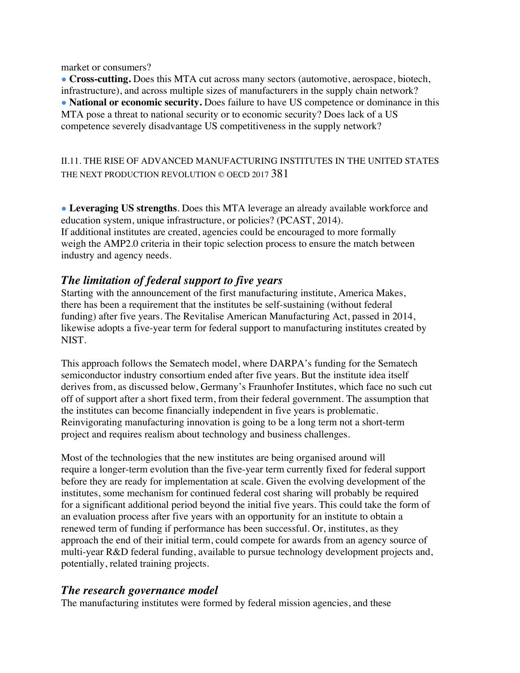market or consumers?

! **Cross-cutting.** Does this MTA cut across many sectors (automotive, aerospace, biotech, infrastructure), and across multiple sizes of manufacturers in the supply chain network? ! **National or economic security.** Does failure to have US competence or dominance in this MTA pose a threat to national security or to economic security? Does lack of a US competence severely disadvantage US competitiveness in the supply network?

#### II.11. THE RISE OF ADVANCED MANUFACTURING INSTITUTES IN THE UNITED STATES THE NEXT PRODUCTION REVOLUTION © OECD 2017 381

! **Leveraging US strengths**. Does this MTA leverage an already available workforce and education system, unique infrastructure, or policies? (PCAST, 2014). If additional institutes are created, agencies could be encouraged to more formally weigh the AMP2.0 criteria in their topic selection process to ensure the match between industry and agency needs.

#### *The limitation of federal support to five years*

Starting with the announcement of the first manufacturing institute, America Makes, there has been a requirement that the institutes be self-sustaining (without federal funding) after five years. The Revitalise American Manufacturing Act, passed in 2014, likewise adopts a five-year term for federal support to manufacturing institutes created by NIST.

This approach follows the Sematech model, where DARPA's funding for the Sematech semiconductor industry consortium ended after five years. But the institute idea itself derives from, as discussed below, Germany's Fraunhofer Institutes, which face no such cut off of support after a short fixed term, from their federal government. The assumption that the institutes can become financially independent in five years is problematic. Reinvigorating manufacturing innovation is going to be a long term not a short-term project and requires realism about technology and business challenges.

Most of the technologies that the new institutes are being organised around will require a longer-term evolution than the five-year term currently fixed for federal support before they are ready for implementation at scale. Given the evolving development of the institutes, some mechanism for continued federal cost sharing will probably be required for a significant additional period beyond the initial five years. This could take the form of an evaluation process after five years with an opportunity for an institute to obtain a renewed term of funding if performance has been successful. Or, institutes, as they approach the end of their initial term, could compete for awards from an agency source of multi-year R&D federal funding, available to pursue technology development projects and, potentially, related training projects.

#### *The research governance model*

The manufacturing institutes were formed by federal mission agencies, and these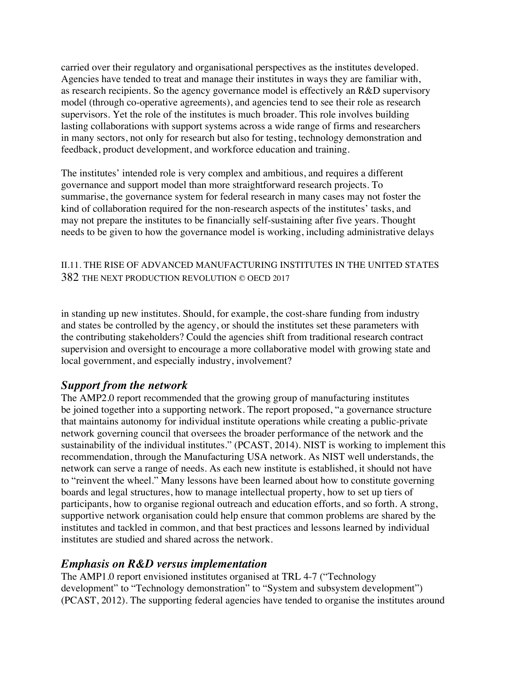carried over their regulatory and organisational perspectives as the institutes developed. Agencies have tended to treat and manage their institutes in ways they are familiar with, as research recipients. So the agency governance model is effectively an R&D supervisory model (through co-operative agreements), and agencies tend to see their role as research supervisors. Yet the role of the institutes is much broader. This role involves building lasting collaborations with support systems across a wide range of firms and researchers in many sectors, not only for research but also for testing, technology demonstration and feedback, product development, and workforce education and training.

The institutes' intended role is very complex and ambitious, and requires a different governance and support model than more straightforward research projects. To summarise, the governance system for federal research in many cases may not foster the kind of collaboration required for the non-research aspects of the institutes' tasks, and may not prepare the institutes to be financially self-sustaining after five years. Thought needs to be given to how the governance model is working, including administrative delays

#### II.11. THE RISE OF ADVANCED MANUFACTURING INSTITUTES IN THE UNITED STATES 382 THE NEXT PRODUCTION REVOLUTION © OECD 2017

in standing up new institutes. Should, for example, the cost-share funding from industry and states be controlled by the agency, or should the institutes set these parameters with the contributing stakeholders? Could the agencies shift from traditional research contract supervision and oversight to encourage a more collaborative model with growing state and local government, and especially industry, involvement?

#### *Support from the network*

The AMP2.0 report recommended that the growing group of manufacturing institutes be joined together into a supporting network. The report proposed, "a governance structure that maintains autonomy for individual institute operations while creating a public-private network governing council that oversees the broader performance of the network and the sustainability of the individual institutes." (PCAST, 2014). NIST is working to implement this recommendation, through the Manufacturing USA network. As NIST well understands, the network can serve a range of needs. As each new institute is established, it should not have to "reinvent the wheel." Many lessons have been learned about how to constitute governing boards and legal structures, how to manage intellectual property, how to set up tiers of participants, how to organise regional outreach and education efforts, and so forth. A strong, supportive network organisation could help ensure that common problems are shared by the institutes and tackled in common, and that best practices and lessons learned by individual institutes are studied and shared across the network.

#### *Emphasis on R&D versus implementation*

The AMP1.0 report envisioned institutes organised at TRL 4-7 ("Technology development" to "Technology demonstration" to "System and subsystem development") (PCAST, 2012). The supporting federal agencies have tended to organise the institutes around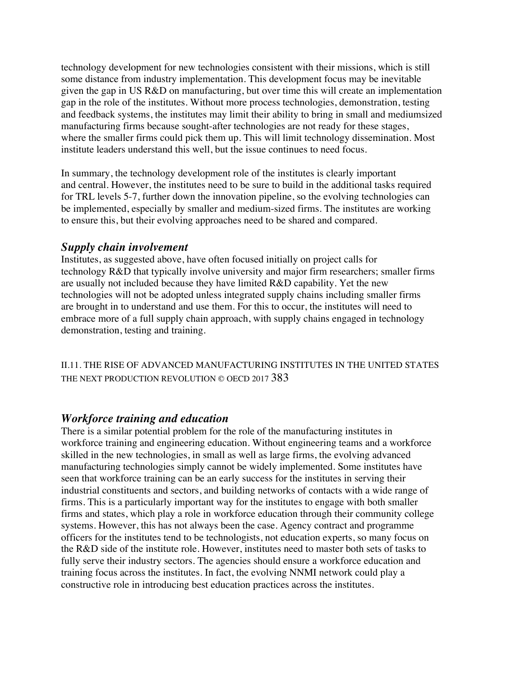technology development for new technologies consistent with their missions, which is still some distance from industry implementation. This development focus may be inevitable given the gap in US R&D on manufacturing, but over time this will create an implementation gap in the role of the institutes. Without more process technologies, demonstration, testing and feedback systems, the institutes may limit their ability to bring in small and mediumsized manufacturing firms because sought-after technologies are not ready for these stages, where the smaller firms could pick them up. This will limit technology dissemination. Most institute leaders understand this well, but the issue continues to need focus.

In summary, the technology development role of the institutes is clearly important and central. However, the institutes need to be sure to build in the additional tasks required for TRL levels 5-7, further down the innovation pipeline, so the evolving technologies can be implemented, especially by smaller and medium-sized firms. The institutes are working to ensure this, but their evolving approaches need to be shared and compared.

#### *Supply chain involvement*

Institutes, as suggested above, have often focused initially on project calls for technology R&D that typically involve university and major firm researchers; smaller firms are usually not included because they have limited R&D capability. Yet the new technologies will not be adopted unless integrated supply chains including smaller firms are brought in to understand and use them. For this to occur, the institutes will need to embrace more of a full supply chain approach, with supply chains engaged in technology demonstration, testing and training.

#### II.11. THE RISE OF ADVANCED MANUFACTURING INSTITUTES IN THE UNITED STATES THE NEXT PRODUCTION REVOLUTION © OECD 2017 383

#### *Workforce training and education*

There is a similar potential problem for the role of the manufacturing institutes in workforce training and engineering education. Without engineering teams and a workforce skilled in the new technologies, in small as well as large firms, the evolving advanced manufacturing technologies simply cannot be widely implemented. Some institutes have seen that workforce training can be an early success for the institutes in serving their industrial constituents and sectors, and building networks of contacts with a wide range of firms. This is a particularly important way for the institutes to engage with both smaller firms and states, which play a role in workforce education through their community college systems. However, this has not always been the case. Agency contract and programme officers for the institutes tend to be technologists, not education experts, so many focus on the R&D side of the institute role. However, institutes need to master both sets of tasks to fully serve their industry sectors. The agencies should ensure a workforce education and training focus across the institutes. In fact, the evolving NNMI network could play a constructive role in introducing best education practices across the institutes.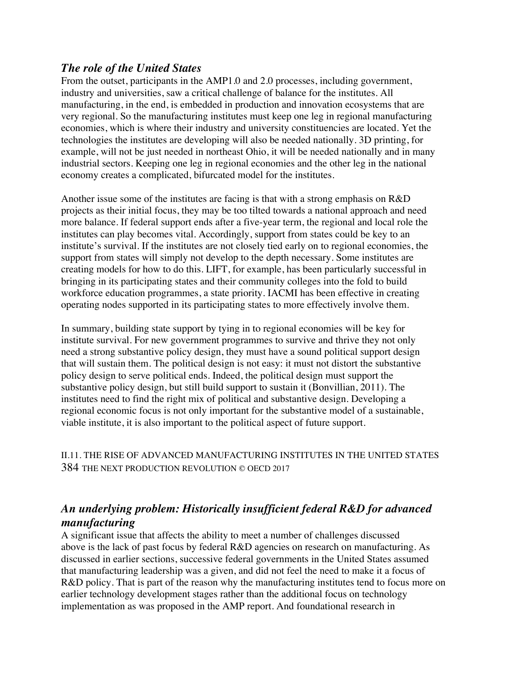#### *The role of the United States*

From the outset, participants in the AMP1.0 and 2.0 processes, including government, industry and universities, saw a critical challenge of balance for the institutes. All manufacturing, in the end, is embedded in production and innovation ecosystems that are very regional. So the manufacturing institutes must keep one leg in regional manufacturing economies, which is where their industry and university constituencies are located. Yet the technologies the institutes are developing will also be needed nationally. 3D printing, for example, will not be just needed in northeast Ohio, it will be needed nationally and in many industrial sectors. Keeping one leg in regional economies and the other leg in the national economy creates a complicated, bifurcated model for the institutes.

Another issue some of the institutes are facing is that with a strong emphasis on R&D projects as their initial focus, they may be too tilted towards a national approach and need more balance. If federal support ends after a five-year term, the regional and local role the institutes can play becomes vital. Accordingly, support from states could be key to an institute's survival. If the institutes are not closely tied early on to regional economies, the support from states will simply not develop to the depth necessary. Some institutes are creating models for how to do this. LIFT, for example, has been particularly successful in bringing in its participating states and their community colleges into the fold to build workforce education programmes, a state priority. IACMI has been effective in creating operating nodes supported in its participating states to more effectively involve them.

In summary, building state support by tying in to regional economies will be key for institute survival. For new government programmes to survive and thrive they not only need a strong substantive policy design, they must have a sound political support design that will sustain them. The political design is not easy: it must not distort the substantive policy design to serve political ends. Indeed, the political design must support the substantive policy design, but still build support to sustain it (Bonvillian, 2011). The institutes need to find the right mix of political and substantive design. Developing a regional economic focus is not only important for the substantive model of a sustainable, viable institute, it is also important to the political aspect of future support.

II.11. THE RISE OF ADVANCED MANUFACTURING INSTITUTES IN THE UNITED STATES 384 THE NEXT PRODUCTION REVOLUTION © OECD 2017

## *An underlying problem: Historically insufficient federal R&D for advanced manufacturing*

A significant issue that affects the ability to meet a number of challenges discussed above is the lack of past focus by federal R&D agencies on research on manufacturing. As discussed in earlier sections, successive federal governments in the United States assumed that manufacturing leadership was a given, and did not feel the need to make it a focus of R&D policy. That is part of the reason why the manufacturing institutes tend to focus more on earlier technology development stages rather than the additional focus on technology implementation as was proposed in the AMP report. And foundational research in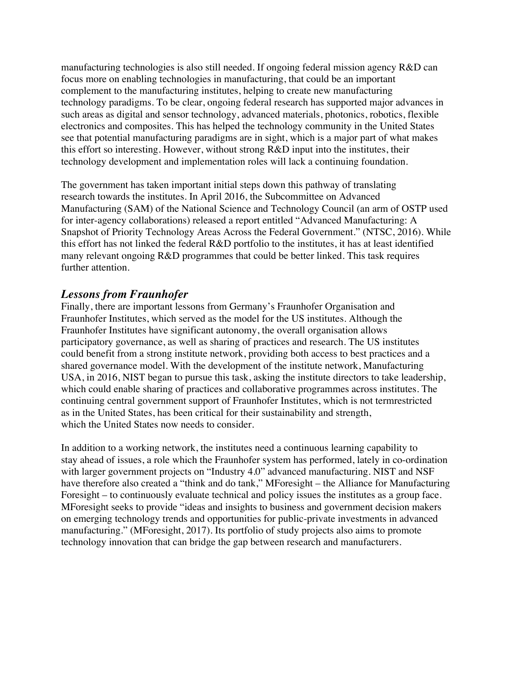manufacturing technologies is also still needed. If ongoing federal mission agency R&D can focus more on enabling technologies in manufacturing, that could be an important complement to the manufacturing institutes, helping to create new manufacturing technology paradigms. To be clear, ongoing federal research has supported major advances in such areas as digital and sensor technology, advanced materials, photonics, robotics, flexible electronics and composites. This has helped the technology community in the United States see that potential manufacturing paradigms are in sight, which is a major part of what makes this effort so interesting. However, without strong R&D input into the institutes, their technology development and implementation roles will lack a continuing foundation.

The government has taken important initial steps down this pathway of translating research towards the institutes. In April 2016, the Subcommittee on Advanced Manufacturing (SAM) of the National Science and Technology Council (an arm of OSTP used for inter-agency collaborations) released a report entitled "Advanced Manufacturing: A Snapshot of Priority Technology Areas Across the Federal Government." (NTSC, 2016). While this effort has not linked the federal R&D portfolio to the institutes, it has at least identified many relevant ongoing R&D programmes that could be better linked. This task requires further attention.

#### *Lessons from Fraunhofer*

Finally, there are important lessons from Germany's Fraunhofer Organisation and Fraunhofer Institutes, which served as the model for the US institutes. Although the Fraunhofer Institutes have significant autonomy, the overall organisation allows participatory governance, as well as sharing of practices and research. The US institutes could benefit from a strong institute network, providing both access to best practices and a shared governance model. With the development of the institute network, Manufacturing USA, in 2016, NIST began to pursue this task, asking the institute directors to take leadership, which could enable sharing of practices and collaborative programmes across institutes. The continuing central government support of Fraunhofer Institutes, which is not termrestricted as in the United States, has been critical for their sustainability and strength, which the United States now needs to consider.

In addition to a working network, the institutes need a continuous learning capability to stay ahead of issues, a role which the Fraunhofer system has performed, lately in co-ordination with larger government projects on "Industry 4.0" advanced manufacturing. NIST and NSF have therefore also created a "think and do tank," MForesight – the Alliance for Manufacturing Foresight – to continuously evaluate technical and policy issues the institutes as a group face. MForesight seeks to provide "ideas and insights to business and government decision makers on emerging technology trends and opportunities for public-private investments in advanced manufacturing." (MForesight, 2017). Its portfolio of study projects also aims to promote technology innovation that can bridge the gap between research and manufacturers.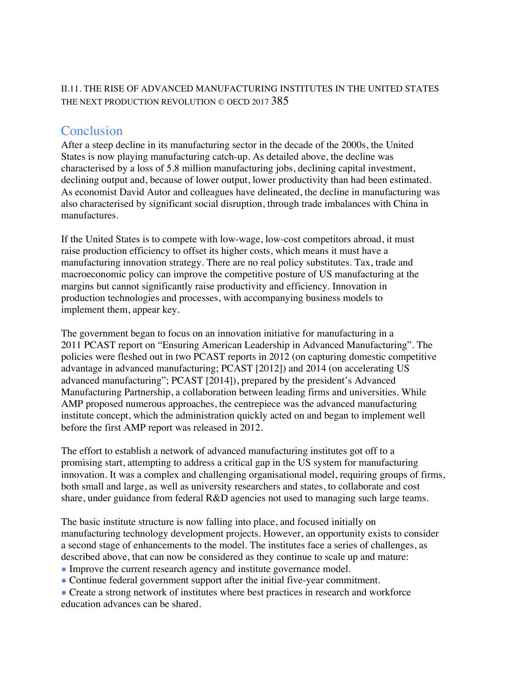#### II.11. THE RISE OF ADVANCED MANUFACTURING INSTITUTES IN THE UNITED STATES THE NEXT PRODUCTION REVOLUTION © OECD 2017 385

## **Conclusion**

After a steep decline in its manufacturing sector in the decade of the 2000s, the United States is now playing manufacturing catch-up. As detailed above, the decline was characterised by a loss of 5.8 million manufacturing jobs, declining capital investment, declining output and, because of lower output, lower productivity than had been estimated. As economist David Autor and colleagues have delineated, the decline in manufacturing was also characterised by significant social disruption, through trade imbalances with China in manufactures.

If the United States is to compete with low-wage, low-cost competitors abroad, it must raise production efficiency to offset its higher costs, which means it must have a manufacturing innovation strategy. There are no real policy substitutes. Tax, trade and macroeconomic policy can improve the competitive posture of US manufacturing at the margins but cannot significantly raise productivity and efficiency. Innovation in production technologies and processes, with accompanying business models to implement them, appear key.

The government began to focus on an innovation initiative for manufacturing in a 2011 PCAST report on "Ensuring American Leadership in Advanced Manufacturing". The policies were fleshed out in two PCAST reports in 2012 (on capturing domestic competitive advantage in advanced manufacturing; PCAST [2012]) and 2014 (on accelerating US advanced manufacturing"; PCAST [2014]), prepared by the president's Advanced Manufacturing Partnership, a collaboration between leading firms and universities. While AMP proposed numerous approaches, the centrepiece was the advanced manufacturing institute concept, which the administration quickly acted on and began to implement well before the first AMP report was released in 2012.

The effort to establish a network of advanced manufacturing institutes got off to a promising start, attempting to address a critical gap in the US system for manufacturing innovation. It was a complex and challenging organisational model, requiring groups of firms, both small and large, as well as university researchers and states, to collaborate and cost share, under guidance from federal R&D agencies not used to managing such large teams.

The basic institute structure is now falling into place, and focused initially on manufacturing technology development projects. However, an opportunity exists to consider a second stage of enhancements to the model. The institutes face a series of challenges, as described above, that can now be considered as they continue to scale up and mature:

• Improve the current research agency and institute governance model.

! Continue federal government support after the initial five-year commitment.

• Create a strong network of institutes where best practices in research and workforce education advances can be shared.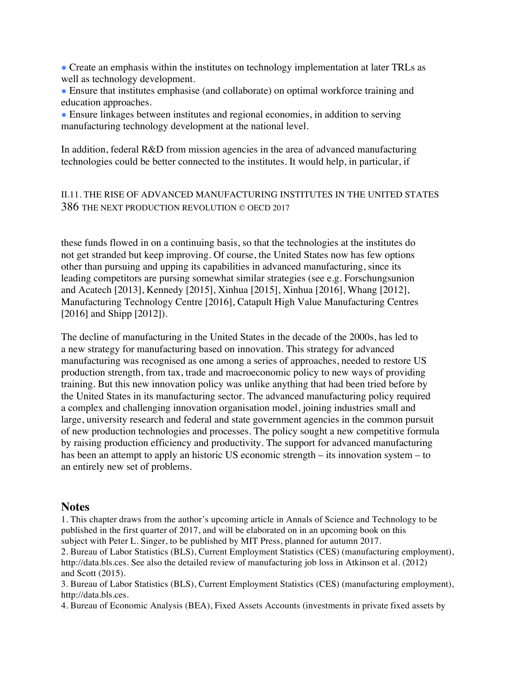• Create an emphasis within the institutes on technology implementation at later TRLs as well as technology development.

• Ensure that institutes emphasise (and collaborate) on optimal workforce training and education approaches.

! Ensure linkages between institutes and regional economies, in addition to serving manufacturing technology development at the national level.

In addition, federal R&D from mission agencies in the area of advanced manufacturing technologies could be better connected to the institutes. It would help, in particular, if

II.11. THE RISE OF ADVANCED MANUFACTURING INSTITUTES IN THE UNITED STATES 386 THE NEXT PRODUCTION REVOLUTION © OECD 2017

these funds flowed in on a continuing basis, so that the technologies at the institutes do not get stranded but keep improving. Of course, the United States now has few options other than pursuing and upping its capabilities in advanced manufacturing, since its leading competitors are pursing somewhat similar strategies (see e.g. Forschungsunion and Acatech [2013], Kennedy [2015], Xinhua [2015], Xinhua [2016], Whang [2012], Manufacturing Technology Centre [2016], Catapult High Value Manufacturing Centres [2016] and Shipp [2012]).

The decline of manufacturing in the United States in the decade of the 2000s, has led to a new strategy for manufacturing based on innovation. This strategy for advanced manufacturing was recognised as one among a series of approaches, needed to restore US production strength, from tax, trade and macroeconomic policy to new ways of providing training. But this new innovation policy was unlike anything that had been tried before by the United States in its manufacturing sector. The advanced manufacturing policy required a complex and challenging innovation organisation model, joining industries small and large, university research and federal and state government agencies in the common pursuit of new production technologies and processes. The policy sought a new competitive formula by raising production efficiency and productivity. The support for advanced manufacturing has been an attempt to apply an historic US economic strength – its innovation system – to an entirely new set of problems.

#### **Notes**

1. This chapter draws from the author's upcoming article in Annals of Science and Technology to be published in the first quarter of 2017, and will be elaborated on in an upcoming book on this subject with Peter L. Singer, to be published by MIT Press, planned for autumn 2017.

2. Bureau of Labor Statistics (BLS), Current Employment Statistics (CES) (manufacturing employment), http://data.bls.ces. See also the detailed review of manufacturing job loss in Atkinson et al. (2012) and Scott (2015).

3. Bureau of Labor Statistics (BLS), Current Employment Statistics (CES) (manufacturing employment), http://data.bls.ces.

4. Bureau of Economic Analysis (BEA), Fixed Assets Accounts (investments in private fixed assets by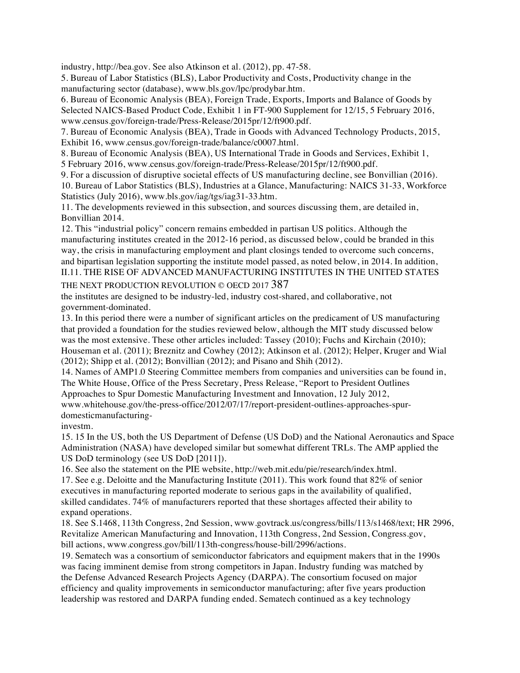industry, http://bea.gov. See also Atkinson et al. (2012), pp. 47-58.

5. Bureau of Labor Statistics (BLS), Labor Productivity and Costs, Productivity change in the manufacturing sector (database), www.bls.gov/lpc/prodybar.htm.

6. Bureau of Economic Analysis (BEA), Foreign Trade, Exports, Imports and Balance of Goods by Selected NAICS-Based Product Code, Exhibit 1 in FT-900 Supplement for 12/15, 5 February 2016, www.census.gov/foreign-trade/Press-Release/2015pr/12/ft900.pdf.

7. Bureau of Economic Analysis (BEA), Trade in Goods with Advanced Technology Products, 2015, Exhibit 16, www.census.gov/foreign-trade/balance/c0007.html.

8. Bureau of Economic Analysis (BEA), US International Trade in Goods and Services, Exhibit 1, 5 February 2016, www.census.gov/foreign-trade/Press-Release/2015pr/12/ft900.pdf.

9. For a discussion of disruptive societal effects of US manufacturing decline, see Bonvillian (2016). 10. Bureau of Labor Statistics (BLS), Industries at a Glance, Manufacturing: NAICS 31-33, Workforce

Statistics (July 2016), www.bls.gov/iag/tgs/iag31-33.htm.

11. The developments reviewed in this subsection, and sources discussing them, are detailed in, Bonvillian 2014.

12. This "industrial policy" concern remains embedded in partisan US politics. Although the manufacturing institutes created in the 2012-16 period, as discussed below, could be branded in this way, the crisis in manufacturing employment and plant closings tended to overcome such concerns, and bipartisan legislation supporting the institute model passed, as noted below, in 2014. In addition, II.11. THE RISE OF ADVANCED MANUFACTURING INSTITUTES IN THE UNITED STATES

THE NEXT PRODUCTION REVOLUTION © OECD 2017 387

the institutes are designed to be industry-led, industry cost-shared, and collaborative, not government-dominated.

13. In this period there were a number of significant articles on the predicament of US manufacturing that provided a foundation for the studies reviewed below, although the MIT study discussed below was the most extensive. These other articles included: Tassey (2010); Fuchs and Kirchain (2010); Houseman et al. (2011); Breznitz and Cowhey (2012); Atkinson et al. (2012); Helper, Kruger and Wial (2012); Shipp et al. (2012); Bonvillian (2012); and Pisano and Shih (2012).

14. Names of AMP1.0 Steering Committee members from companies and universities can be found in, The White House, Office of the Press Secretary, Press Release, "Report to President Outlines Approaches to Spur Domestic Manufacturing Investment and Innovation, 12 July 2012, www.whitehouse.gov/the-press-office/2012/07/17/report-president-outlines-approaches-spurdomesticmanufacturing-

investm.

15. 15 In the US, both the US Department of Defense (US DoD) and the National Aeronautics and Space Administration (NASA) have developed similar but somewhat different TRLs. The AMP applied the US DoD terminology (see US DoD [2011]).

16. See also the statement on the PIE website, http://web.mit.edu/pie/research/index.html.

17. See e.g. Deloitte and the Manufacturing Institute (2011). This work found that 82% of senior executives in manufacturing reported moderate to serious gaps in the availability of qualified, skilled candidates. 74% of manufacturers reported that these shortages affected their ability to expand operations.

18. See S.1468, 113th Congress, 2nd Session, www.govtrack.us/congress/bills/113/s1468/text; HR 2996, Revitalize American Manufacturing and Innovation, 113th Congress, 2nd Session, Congress.gov, bill actions, www.congress.gov/bill/113th-congress/house-bill/2996/actions.

19. Sematech was a consortium of semiconductor fabricators and equipment makers that in the 1990s was facing imminent demise from strong competitors in Japan. Industry funding was matched by the Defense Advanced Research Projects Agency (DARPA). The consortium focused on major efficiency and quality improvements in semiconductor manufacturing; after five years production leadership was restored and DARPA funding ended. Sematech continued as a key technology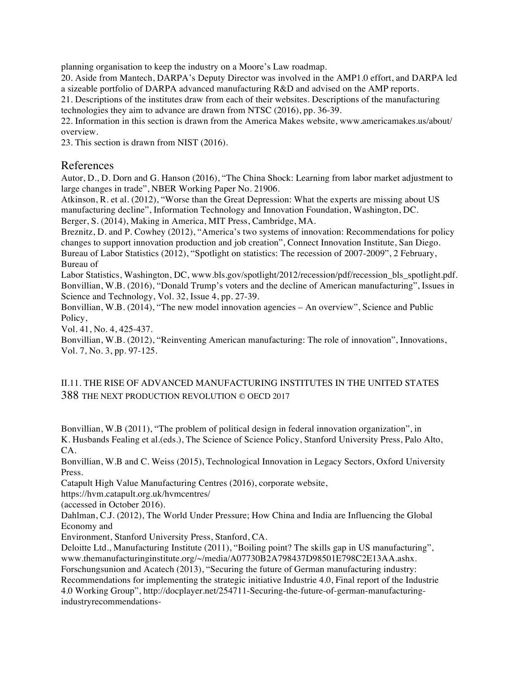planning organisation to keep the industry on a Moore's Law roadmap.

20. Aside from Mantech, DARPA's Deputy Director was involved in the AMP1.0 effort, and DARPA led a sizeable portfolio of DARPA advanced manufacturing R&D and advised on the AMP reports.

21. Descriptions of the institutes draw from each of their websites. Descriptions of the manufacturing technologies they aim to advance are drawn from NTSC (2016), pp. 36-39.

22. Information in this section is drawn from the America Makes website, www.americamakes.us/about/ overview.

23. This section is drawn from NIST (2016).

#### References

Autor, D., D. Dorn and G. Hanson (2016), "The China Shock: Learning from labor market adjustment to large changes in trade", NBER Working Paper No. 21906.

Atkinson, R. et al. (2012), "Worse than the Great Depression: What the experts are missing about US manufacturing decline", Information Technology and Innovation Foundation, Washington, DC. Berger, S. (2014), Making in America, MIT Press, Cambridge, MA.

Breznitz, D. and P. Cowhey (2012), "America's two systems of innovation: Recommendations for policy changes to support innovation production and job creation", Connect Innovation Institute, San Diego. Bureau of Labor Statistics (2012), "Spotlight on statistics: The recession of 2007-2009", 2 February, Bureau of

Labor Statistics, Washington, DC, www.bls.gov/spotlight/2012/recession/pdf/recession\_bls\_spotlight.pdf. Bonvillian, W.B. (2016), "Donald Trump's voters and the decline of American manufacturing", Issues in Science and Technology, Vol. 32, Issue 4, pp. 27-39.

Bonvillian, W.B. (2014), "The new model innovation agencies – An overview", Science and Public Policy,

Vol. 41, No. 4, 425-437.

Bonvillian, W.B. (2012), "Reinventing American manufacturing: The role of innovation", Innovations, Vol. 7, No. 3, pp. 97-125.

#### II.11. THE RISE OF ADVANCED MANUFACTURING INSTITUTES IN THE UNITED STATES 388 THE NEXT PRODUCTION REVOLUTION © OECD 2017

Bonvillian, W.B (2011), "The problem of political design in federal innovation organization", in K. Husbands Fealing et al.(eds.), The Science of Science Policy, Stanford University Press, Palo Alto, CA.

Bonvillian, W.B and C. Weiss (2015), Technological Innovation in Legacy Sectors, Oxford University Press.

Catapult High Value Manufacturing Centres (2016), corporate website,

https://hvm.catapult.org.uk/hvmcentres/

(accessed in October 2016).

Dahlman, C.J. (2012), The World Under Pressure; How China and India are Influencing the Global Economy and

Environment, Stanford University Press, Stanford, CA.

Deloitte Ltd., Manufacturing Institute (2011), "Boiling point? The skills gap in US manufacturing", www.themanufacturinginstitute.org/~/media/A07730B2A798437D98501E798C2E13AA.ashx. Forschungsunion and Acatech (2013), "Securing the future of German manufacturing industry: Recommendations for implementing the strategic initiative Industrie 4.0, Final report of the Industrie 4.0 Working Group", http://docplayer.net/254711-Securing-the-future-of-german-manufacturingindustryrecommendations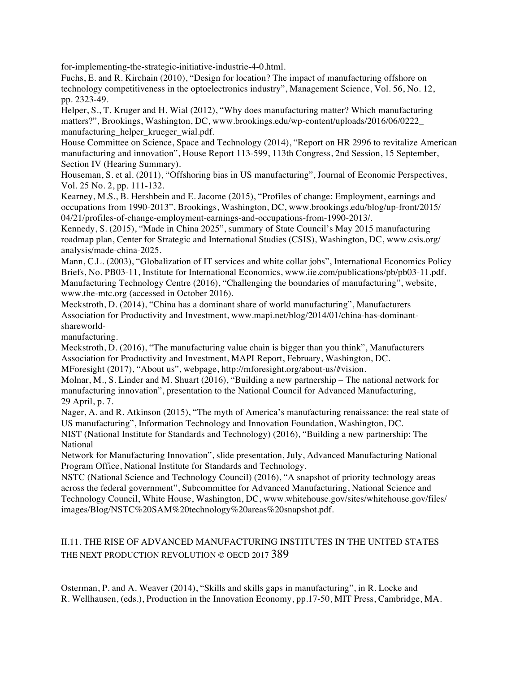for-implementing-the-strategic-initiative-industrie-4-0.html.

Fuchs, E. and R. Kirchain (2010), "Design for location? The impact of manufacturing offshore on technology competitiveness in the optoelectronics industry", Management Science, Vol. 56, No. 12, pp. 2323-49.

Helper, S., T. Kruger and H. Wial (2012), "Why does manufacturing matter? Which manufacturing matters?", Brookings, Washington, DC, www.brookings.edu/wp-content/uploads/2016/06/0222\_ manufacturing helper krueger wial.pdf.

House Committee on Science, Space and Technology (2014), "Report on HR 2996 to revitalize American manufacturing and innovation", House Report 113-599, 113th Congress, 2nd Session, 15 September, Section IV (Hearing Summary).

Houseman, S. et al. (2011), "Offshoring bias in US manufacturing", Journal of Economic Perspectives, Vol. 25 No. 2, pp. 111-132.

Kearney, M.S., B. Hershbein and E. Jacome (2015), "Profiles of change: Employment, earnings and occupations from 1990-2013", Brookings, Washington, DC, www.brookings.edu/blog/up-front/2015/ 04/21/profiles-of-change-employment-earnings-and-occupations-from-1990-2013/.

Kennedy, S. (2015), "Made in China 2025", summary of State Council's May 2015 manufacturing roadmap plan, Center for Strategic and International Studies (CSIS), Washington, DC, www.csis.org/ analysis/made-china-2025.

Mann, C.L. (2003), "Globalization of IT services and white collar jobs", International Economics Policy Briefs, No. PB03-11, Institute for International Economics, www.iie.com/publications/pb/pb03-11.pdf. Manufacturing Technology Centre (2016), "Challenging the boundaries of manufacturing", website, www.the-mtc.org (accessed in October 2016).

Meckstroth, D. (2014), "China has a dominant share of world manufacturing", Manufacturers Association for Productivity and Investment, www.mapi.net/blog/2014/01/china-has-dominantshareworld-

manufacturing.

Meckstroth, D. (2016), "The manufacturing value chain is bigger than you think", Manufacturers Association for Productivity and Investment, MAPI Report, February, Washington, DC.

MForesight (2017), "About us", webpage, http://mforesight.org/about-us/#vision.

Molnar, M., S. Linder and M. Shuart (2016), "Building a new partnership – The national network for manufacturing innovation", presentation to the National Council for Advanced Manufacturing, 29 April, p. 7.

Nager, A. and R. Atkinson (2015), "The myth of America's manufacturing renaissance: the real state of US manufacturing", Information Technology and Innovation Foundation, Washington, DC.

NIST (National Institute for Standards and Technology) (2016), "Building a new partnership: The National

Network for Manufacturing Innovation", slide presentation, July, Advanced Manufacturing National Program Office, National Institute for Standards and Technology.

NSTC (National Science and Technology Council) (2016), "A snapshot of priority technology areas across the federal government", Subcommittee for Advanced Manufacturing, National Science and Technology Council, White House, Washington, DC, www.whitehouse.gov/sites/whitehouse.gov/files/ images/Blog/NSTC%20SAM%20technology%20areas%20snapshot.pdf.

#### II.11. THE RISE OF ADVANCED MANUFACTURING INSTITUTES IN THE UNITED STATES THE NEXT PRODUCTION REVOLUTION © OECD 2017 389

Osterman, P. and A. Weaver (2014), "Skills and skills gaps in manufacturing", in R. Locke and R. Wellhausen, (eds.), Production in the Innovation Economy, pp.17-50, MIT Press, Cambridge, MA.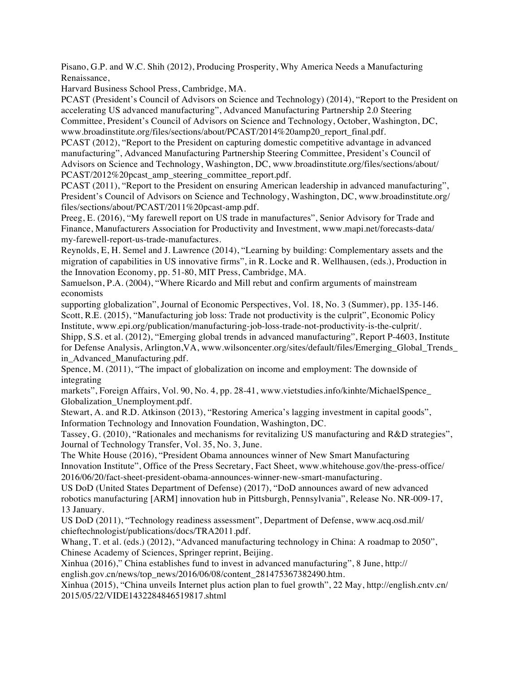Pisano, G.P. and W.C. Shih (2012), Producing Prosperity, Why America Needs a Manufacturing Renaissance,

Harvard Business School Press, Cambridge, MA.

PCAST (President's Council of Advisors on Science and Technology) (2014), "Report to the President on accelerating US advanced manufacturing", Advanced Manufacturing Partnership 2.0 Steering Committee, President's Council of Advisors on Science and Technology, October, Washington, DC,

www.broadinstitute.org/files/sections/about/PCAST/2014%20amp20\_report\_final.pdf.

PCAST (2012), "Report to the President on capturing domestic competitive advantage in advanced manufacturing", Advanced Manufacturing Partnership Steering Committee, President's Council of Advisors on Science and Technology, Washington, DC, www.broadinstitute.org/files/sections/about/ PCAST/2012%20pcast\_amp\_steering\_committee\_report.pdf.

PCAST (2011), "Report to the President on ensuring American leadership in advanced manufacturing", President's Council of Advisors on Science and Technology, Washington, DC, www.broadinstitute.org/ files/sections/about/PCAST/2011%20pcast-amp.pdf.

Preeg, E. (2016), "My farewell report on US trade in manufactures", Senior Advisory for Trade and Finance, Manufacturers Association for Productivity and Investment, www.mapi.net/forecasts-data/ my-farewell-report-us-trade-manufactures.

Reynolds, E, H. Semel and J. Lawrence (2014), "Learning by building: Complementary assets and the migration of capabilities in US innovative firms", in R. Locke and R. Wellhausen, (eds.), Production in the Innovation Economy, pp. 51-80, MIT Press, Cambridge, MA.

Samuelson, P.A. (2004), "Where Ricardo and Mill rebut and confirm arguments of mainstream economists

supporting globalization", Journal of Economic Perspectives, Vol. 18, No. 3 (Summer), pp. 135-146. Scott, R.E. (2015), "Manufacturing job loss: Trade not productivity is the culprit", Economic Policy Institute, www.epi.org/publication/manufacturing-job-loss-trade-not-productivity-is-the-culprit/.

Shipp, S.S. et al. (2012), "Emerging global trends in advanced manufacturing", Report P-4603, Institute for Defense Analysis, Arlington,VA, www.wilsoncenter.org/sites/default/files/Emerging\_Global\_Trends\_ in Advanced Manufacturing.pdf.

Spence, M. (2011), "The impact of globalization on income and employment: The downside of integrating

markets", Foreign Affairs, Vol. 90, No. 4, pp. 28-41, www.vietstudies.info/kinhte/MichaelSpence\_ Globalization Unemployment.pdf.

Stewart, A. and R.D. Atkinson (2013), "Restoring America's lagging investment in capital goods", Information Technology and Innovation Foundation, Washington, DC.

Tassey, G. (2010), "Rationales and mechanisms for revitalizing US manufacturing and R&D strategies", Journal of Technology Transfer, Vol. 35, No. 3, June.

The White House (2016), "President Obama announces winner of New Smart Manufacturing Innovation Institute", Office of the Press Secretary, Fact Sheet, www.whitehouse.gov/the-press-office/ 2016/06/20/fact-sheet-president-obama-announces-winner-new-smart-manufacturing.

US DoD (United States Department of Defense) (2017), "DoD announces award of new advanced robotics manufacturing [ARM] innovation hub in Pittsburgh, Pennsylvania", Release No. NR-009-17, 13 January.

US DoD (2011), "Technology readiness assessment", Department of Defense, www.acq.osd.mil/ chieftechnologist/publications/docs/TRA2011.pdf.

Whang, T. et al. (eds.) (2012), "Advanced manufacturing technology in China: A roadmap to 2050", Chinese Academy of Sciences, Springer reprint, Beijing.

Xinhua (2016)," China establishes fund to invest in advanced manufacturing", 8 June, http:// english.gov.cn/news/top\_news/2016/06/08/content\_281475367382490.htm.

Xinhua (2015), "China unveils Internet plus action plan to fuel growth", 22 May, http://english.cntv.cn/ 2015/05/22/VIDE1432284846519817.shtml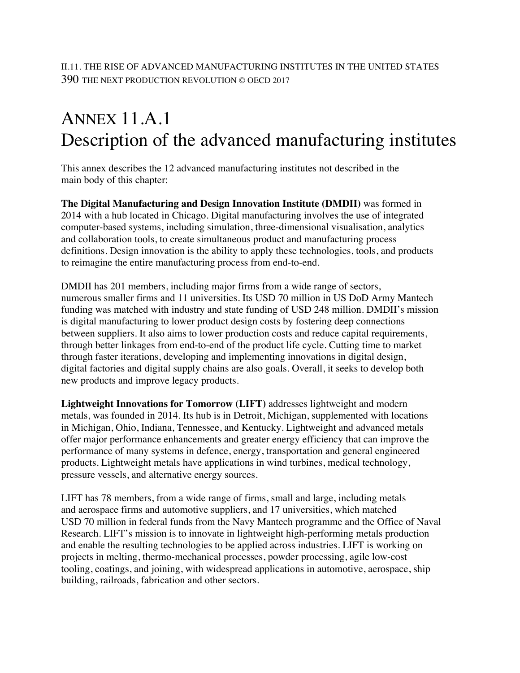II.11. THE RISE OF ADVANCED MANUFACTURING INSTITUTES IN THE UNITED STATES 390 THE NEXT PRODUCTION REVOLUTION © OECD 2017

## ANNEX 11.A.1 Description of the advanced manufacturing institutes

This annex describes the 12 advanced manufacturing institutes not described in the main body of this chapter:

**The Digital Manufacturing and Design Innovation Institute (DMDII)** was formed in 2014 with a hub located in Chicago. Digital manufacturing involves the use of integrated computer-based systems, including simulation, three-dimensional visualisation, analytics and collaboration tools, to create simultaneous product and manufacturing process definitions. Design innovation is the ability to apply these technologies, tools, and products to reimagine the entire manufacturing process from end-to-end.

DMDII has 201 members, including major firms from a wide range of sectors, numerous smaller firms and 11 universities. Its USD 70 million in US DoD Army Mantech funding was matched with industry and state funding of USD 248 million. DMDII's mission is digital manufacturing to lower product design costs by fostering deep connections between suppliers. It also aims to lower production costs and reduce capital requirements, through better linkages from end-to-end of the product life cycle. Cutting time to market through faster iterations, developing and implementing innovations in digital design, digital factories and digital supply chains are also goals. Overall, it seeks to develop both new products and improve legacy products.

**Lightweight Innovations for Tomorrow (LIFT)** addresses lightweight and modern metals, was founded in 2014. Its hub is in Detroit, Michigan, supplemented with locations in Michigan, Ohio, Indiana, Tennessee, and Kentucky. Lightweight and advanced metals offer major performance enhancements and greater energy efficiency that can improve the performance of many systems in defence, energy, transportation and general engineered products. Lightweight metals have applications in wind turbines, medical technology, pressure vessels, and alternative energy sources.

LIFT has 78 members, from a wide range of firms, small and large, including metals and aerospace firms and automotive suppliers, and 17 universities, which matched USD 70 million in federal funds from the Navy Mantech programme and the Office of Naval Research. LIFT's mission is to innovate in lightweight high-performing metals production and enable the resulting technologies to be applied across industries. LIFT is working on projects in melting, thermo-mechanical processes, powder processing, agile low-cost tooling, coatings, and joining, with widespread applications in automotive, aerospace, ship building, railroads, fabrication and other sectors.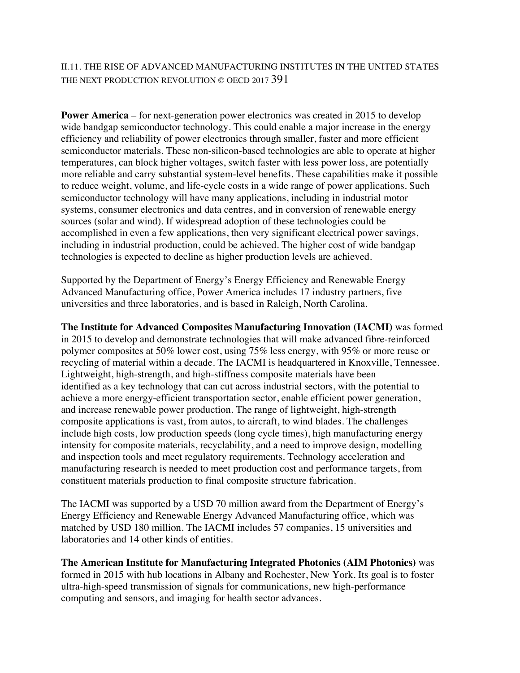#### II.11. THE RISE OF ADVANCED MANUFACTURING INSTITUTES IN THE UNITED STATES THE NEXT PRODUCTION REVOLUTION © OECD 2017 391

**Power America** – for next-generation power electronics was created in 2015 to develop wide bandgap semiconductor technology. This could enable a major increase in the energy efficiency and reliability of power electronics through smaller, faster and more efficient semiconductor materials. These non-silicon-based technologies are able to operate at higher temperatures, can block higher voltages, switch faster with less power loss, are potentially more reliable and carry substantial system-level benefits. These capabilities make it possible to reduce weight, volume, and life-cycle costs in a wide range of power applications. Such semiconductor technology will have many applications, including in industrial motor systems, consumer electronics and data centres, and in conversion of renewable energy sources (solar and wind). If widespread adoption of these technologies could be accomplished in even a few applications, then very significant electrical power savings, including in industrial production, could be achieved. The higher cost of wide bandgap technologies is expected to decline as higher production levels are achieved.

Supported by the Department of Energy's Energy Efficiency and Renewable Energy Advanced Manufacturing office, Power America includes 17 industry partners, five universities and three laboratories, and is based in Raleigh, North Carolina.

**The Institute for Advanced Composites Manufacturing Innovation (IACMI)** was formed in 2015 to develop and demonstrate technologies that will make advanced fibre-reinforced polymer composites at 50% lower cost, using 75% less energy, with 95% or more reuse or recycling of material within a decade. The IACMI is headquartered in Knoxville, Tennessee. Lightweight, high-strength, and high-stiffness composite materials have been identified as a key technology that can cut across industrial sectors, with the potential to achieve a more energy-efficient transportation sector, enable efficient power generation, and increase renewable power production. The range of lightweight, high-strength composite applications is vast, from autos, to aircraft, to wind blades. The challenges include high costs, low production speeds (long cycle times), high manufacturing energy intensity for composite materials, recyclability, and a need to improve design, modelling and inspection tools and meet regulatory requirements. Technology acceleration and manufacturing research is needed to meet production cost and performance targets, from constituent materials production to final composite structure fabrication.

The IACMI was supported by a USD 70 million award from the Department of Energy's Energy Efficiency and Renewable Energy Advanced Manufacturing office, which was matched by USD 180 million. The IACMI includes 57 companies, 15 universities and laboratories and 14 other kinds of entities.

**The American Institute for Manufacturing Integrated Photonics (AIM Photonics)** was formed in 2015 with hub locations in Albany and Rochester, New York. Its goal is to foster ultra-high-speed transmission of signals for communications, new high-performance computing and sensors, and imaging for health sector advances.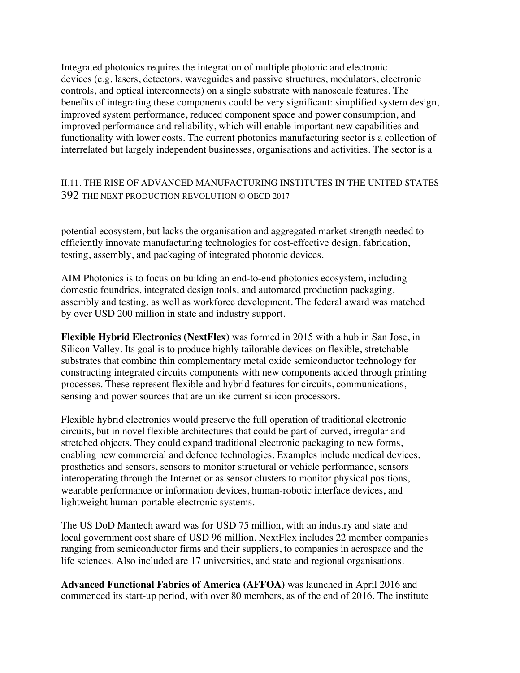Integrated photonics requires the integration of multiple photonic and electronic devices (e.g. lasers, detectors, waveguides and passive structures, modulators, electronic controls, and optical interconnects) on a single substrate with nanoscale features. The benefits of integrating these components could be very significant: simplified system design, improved system performance, reduced component space and power consumption, and improved performance and reliability, which will enable important new capabilities and functionality with lower costs. The current photonics manufacturing sector is a collection of interrelated but largely independent businesses, organisations and activities. The sector is a

#### II.11. THE RISE OF ADVANCED MANUFACTURING INSTITUTES IN THE UNITED STATES 392 THE NEXT PRODUCTION REVOLUTION © OECD 2017

potential ecosystem, but lacks the organisation and aggregated market strength needed to efficiently innovate manufacturing technologies for cost-effective design, fabrication, testing, assembly, and packaging of integrated photonic devices.

AIM Photonics is to focus on building an end-to-end photonics ecosystem, including domestic foundries, integrated design tools, and automated production packaging, assembly and testing, as well as workforce development. The federal award was matched by over USD 200 million in state and industry support.

**Flexible Hybrid Electronics (NextFlex)** was formed in 2015 with a hub in San Jose, in Silicon Valley. Its goal is to produce highly tailorable devices on flexible, stretchable substrates that combine thin complementary metal oxide semiconductor technology for constructing integrated circuits components with new components added through printing processes. These represent flexible and hybrid features for circuits, communications, sensing and power sources that are unlike current silicon processors.

Flexible hybrid electronics would preserve the full operation of traditional electronic circuits, but in novel flexible architectures that could be part of curved, irregular and stretched objects. They could expand traditional electronic packaging to new forms, enabling new commercial and defence technologies. Examples include medical devices, prosthetics and sensors, sensors to monitor structural or vehicle performance, sensors interoperating through the Internet or as sensor clusters to monitor physical positions, wearable performance or information devices, human-robotic interface devices, and lightweight human-portable electronic systems.

The US DoD Mantech award was for USD 75 million, with an industry and state and local government cost share of USD 96 million. NextFlex includes 22 member companies ranging from semiconductor firms and their suppliers, to companies in aerospace and the life sciences. Also included are 17 universities, and state and regional organisations.

**Advanced Functional Fabrics of America (AFFOA)** was launched in April 2016 and commenced its start-up period, with over 80 members, as of the end of 2016. The institute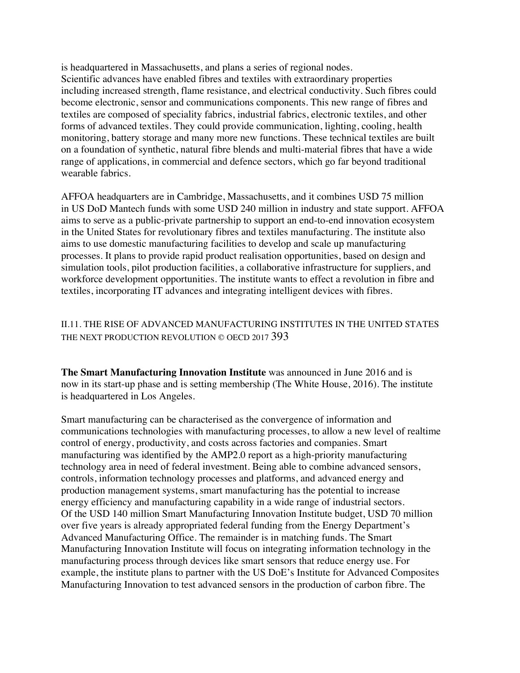is headquartered in Massachusetts, and plans a series of regional nodes. Scientific advances have enabled fibres and textiles with extraordinary properties including increased strength, flame resistance, and electrical conductivity. Such fibres could become electronic, sensor and communications components. This new range of fibres and textiles are composed of speciality fabrics, industrial fabrics, electronic textiles, and other forms of advanced textiles. They could provide communication, lighting, cooling, health monitoring, battery storage and many more new functions. These technical textiles are built on a foundation of synthetic, natural fibre blends and multi-material fibres that have a wide range of applications, in commercial and defence sectors, which go far beyond traditional wearable fabrics.

AFFOA headquarters are in Cambridge, Massachusetts, and it combines USD 75 million in US DoD Mantech funds with some USD 240 million in industry and state support. AFFOA aims to serve as a public-private partnership to support an end-to-end innovation ecosystem in the United States for revolutionary fibres and textiles manufacturing. The institute also aims to use domestic manufacturing facilities to develop and scale up manufacturing processes. It plans to provide rapid product realisation opportunities, based on design and simulation tools, pilot production facilities, a collaborative infrastructure for suppliers, and workforce development opportunities. The institute wants to effect a revolution in fibre and textiles, incorporating IT advances and integrating intelligent devices with fibres.

#### II.11. THE RISE OF ADVANCED MANUFACTURING INSTITUTES IN THE UNITED STATES THE NEXT PRODUCTION REVOLUTION © OECD 2017 393

**The Smart Manufacturing Innovation Institute** was announced in June 2016 and is now in its start-up phase and is setting membership (The White House, 2016). The institute is headquartered in Los Angeles.

Smart manufacturing can be characterised as the convergence of information and communications technologies with manufacturing processes, to allow a new level of realtime control of energy, productivity, and costs across factories and companies. Smart manufacturing was identified by the AMP2.0 report as a high-priority manufacturing technology area in need of federal investment. Being able to combine advanced sensors, controls, information technology processes and platforms, and advanced energy and production management systems, smart manufacturing has the potential to increase energy efficiency and manufacturing capability in a wide range of industrial sectors. Of the USD 140 million Smart Manufacturing Innovation Institute budget, USD 70 million over five years is already appropriated federal funding from the Energy Department's Advanced Manufacturing Office. The remainder is in matching funds. The Smart Manufacturing Innovation Institute will focus on integrating information technology in the manufacturing process through devices like smart sensors that reduce energy use. For example, the institute plans to partner with the US DoE's Institute for Advanced Composites Manufacturing Innovation to test advanced sensors in the production of carbon fibre. The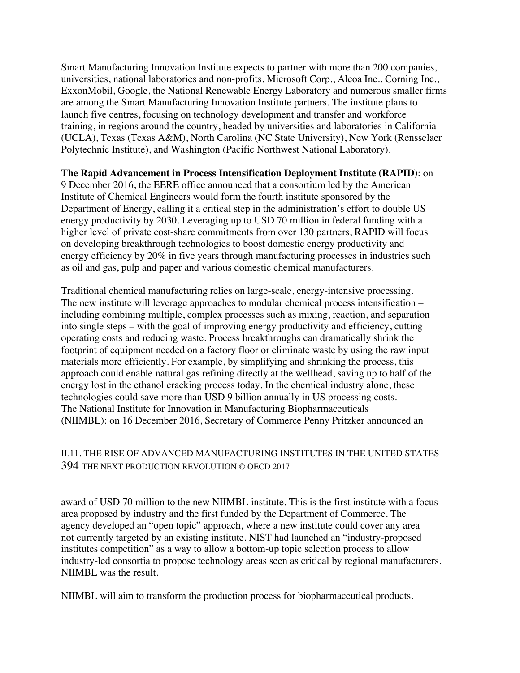Smart Manufacturing Innovation Institute expects to partner with more than 200 companies, universities, national laboratories and non-profits. Microsoft Corp., Alcoa Inc., Corning Inc., ExxonMobil, Google, the National Renewable Energy Laboratory and numerous smaller firms are among the Smart Manufacturing Innovation Institute partners. The institute plans to launch five centres, focusing on technology development and transfer and workforce training, in regions around the country, headed by universities and laboratories in California (UCLA), Texas (Texas A&M), North Carolina (NC State University), New York (Rensselaer Polytechnic Institute), and Washington (Pacific Northwest National Laboratory).

#### **The Rapid Advancement in Process Intensification Deployment Institute (RAPID)**: on

9 December 2016, the EERE office announced that a consortium led by the American Institute of Chemical Engineers would form the fourth institute sponsored by the Department of Energy, calling it a critical step in the administration's effort to double US energy productivity by 2030. Leveraging up to USD 70 million in federal funding with a higher level of private cost-share commitments from over 130 partners, RAPID will focus on developing breakthrough technologies to boost domestic energy productivity and energy efficiency by 20% in five years through manufacturing processes in industries such as oil and gas, pulp and paper and various domestic chemical manufacturers.

Traditional chemical manufacturing relies on large-scale, energy-intensive processing. The new institute will leverage approaches to modular chemical process intensification – including combining multiple, complex processes such as mixing, reaction, and separation into single steps – with the goal of improving energy productivity and efficiency, cutting operating costs and reducing waste. Process breakthroughs can dramatically shrink the footprint of equipment needed on a factory floor or eliminate waste by using the raw input materials more efficiently. For example, by simplifying and shrinking the process, this approach could enable natural gas refining directly at the wellhead, saving up to half of the energy lost in the ethanol cracking process today. In the chemical industry alone, these technologies could save more than USD 9 billion annually in US processing costs. The National Institute for Innovation in Manufacturing Biopharmaceuticals (NIIMBL): on 16 December 2016, Secretary of Commerce Penny Pritzker announced an

#### II.11. THE RISE OF ADVANCED MANUFACTURING INSTITUTES IN THE UNITED STATES 394 THE NEXT PRODUCTION REVOLUTION © OECD 2017

award of USD 70 million to the new NIIMBL institute. This is the first institute with a focus area proposed by industry and the first funded by the Department of Commerce. The agency developed an "open topic" approach, where a new institute could cover any area not currently targeted by an existing institute. NIST had launched an "industry-proposed institutes competition" as a way to allow a bottom-up topic selection process to allow industry-led consortia to propose technology areas seen as critical by regional manufacturers. NIIMBL was the result.

NIIMBL will aim to transform the production process for biopharmaceutical products.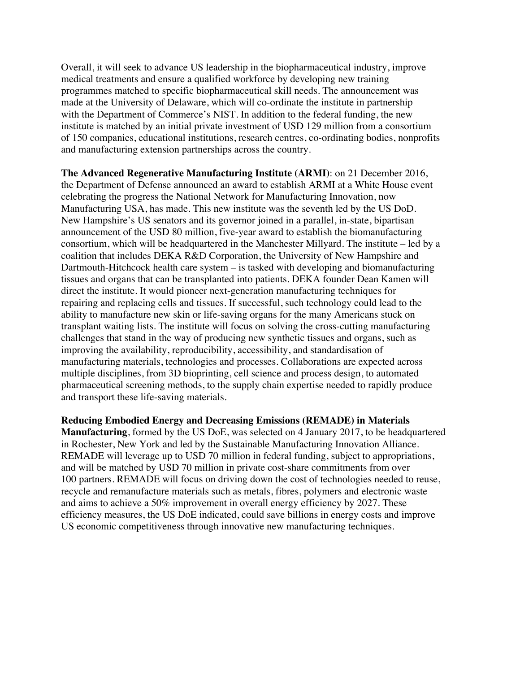Overall, it will seek to advance US leadership in the biopharmaceutical industry, improve medical treatments and ensure a qualified workforce by developing new training programmes matched to specific biopharmaceutical skill needs. The announcement was made at the University of Delaware, which will co-ordinate the institute in partnership with the Department of Commerce's NIST. In addition to the federal funding, the new institute is matched by an initial private investment of USD 129 million from a consortium of 150 companies, educational institutions, research centres, co-ordinating bodies, nonprofits and manufacturing extension partnerships across the country.

**The Advanced Regenerative Manufacturing Institute (ARMI)**: on 21 December 2016, the Department of Defense announced an award to establish ARMI at a White House event celebrating the progress the National Network for Manufacturing Innovation, now Manufacturing USA, has made. This new institute was the seventh led by the US DoD. New Hampshire's US senators and its governor joined in a parallel, in-state, bipartisan announcement of the USD 80 million, five-year award to establish the biomanufacturing consortium, which will be headquartered in the Manchester Millyard. The institute – led by a coalition that includes DEKA R&D Corporation, the University of New Hampshire and Dartmouth-Hitchcock health care system – is tasked with developing and biomanufacturing tissues and organs that can be transplanted into patients. DEKA founder Dean Kamen will direct the institute. It would pioneer next-generation manufacturing techniques for repairing and replacing cells and tissues. If successful, such technology could lead to the ability to manufacture new skin or life-saving organs for the many Americans stuck on transplant waiting lists. The institute will focus on solving the cross-cutting manufacturing challenges that stand in the way of producing new synthetic tissues and organs, such as improving the availability, reproducibility, accessibility, and standardisation of manufacturing materials, technologies and processes. Collaborations are expected across multiple disciplines, from 3D bioprinting, cell science and process design, to automated pharmaceutical screening methods, to the supply chain expertise needed to rapidly produce and transport these life-saving materials.

**Reducing Embodied Energy and Decreasing Emissions (REMADE) in Materials Manufacturing**, formed by the US DoE, was selected on 4 January 2017, to be headquartered in Rochester, New York and led by the Sustainable Manufacturing Innovation Alliance. REMADE will leverage up to USD 70 million in federal funding, subject to appropriations, and will be matched by USD 70 million in private cost-share commitments from over 100 partners. REMADE will focus on driving down the cost of technologies needed to reuse, recycle and remanufacture materials such as metals, fibres, polymers and electronic waste and aims to achieve a 50% improvement in overall energy efficiency by 2027. These efficiency measures, the US DoE indicated, could save billions in energy costs and improve US economic competitiveness through innovative new manufacturing techniques.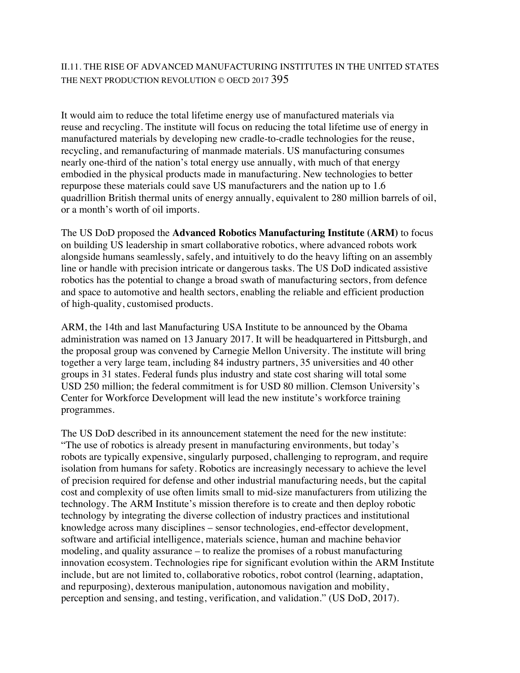#### II.11. THE RISE OF ADVANCED MANUFACTURING INSTITUTES IN THE UNITED STATES THE NEXT PRODUCTION REVOLUTION © OECD 2017 395

It would aim to reduce the total lifetime energy use of manufactured materials via reuse and recycling. The institute will focus on reducing the total lifetime use of energy in manufactured materials by developing new cradle-to-cradle technologies for the reuse, recycling, and remanufacturing of manmade materials. US manufacturing consumes nearly one-third of the nation's total energy use annually, with much of that energy embodied in the physical products made in manufacturing. New technologies to better repurpose these materials could save US manufacturers and the nation up to 1.6 quadrillion British thermal units of energy annually, equivalent to 280 million barrels of oil, or a month's worth of oil imports.

The US DoD proposed the **Advanced Robotics Manufacturing Institute (ARM)** to focus on building US leadership in smart collaborative robotics, where advanced robots work alongside humans seamlessly, safely, and intuitively to do the heavy lifting on an assembly line or handle with precision intricate or dangerous tasks. The US DoD indicated assistive robotics has the potential to change a broad swath of manufacturing sectors, from defence and space to automotive and health sectors, enabling the reliable and efficient production of high-quality, customised products.

ARM, the 14th and last Manufacturing USA Institute to be announced by the Obama administration was named on 13 January 2017. It will be headquartered in Pittsburgh, and the proposal group was convened by Carnegie Mellon University. The institute will bring together a very large team, including 84 industry partners, 35 universities and 40 other groups in 31 states. Federal funds plus industry and state cost sharing will total some USD 250 million; the federal commitment is for USD 80 million. Clemson University's Center for Workforce Development will lead the new institute's workforce training programmes.

The US DoD described in its announcement statement the need for the new institute: "The use of robotics is already present in manufacturing environments, but today's robots are typically expensive, singularly purposed, challenging to reprogram, and require isolation from humans for safety. Robotics are increasingly necessary to achieve the level of precision required for defense and other industrial manufacturing needs, but the capital cost and complexity of use often limits small to mid-size manufacturers from utilizing the technology. The ARM Institute's mission therefore is to create and then deploy robotic technology by integrating the diverse collection of industry practices and institutional knowledge across many disciplines – sensor technologies, end-effector development, software and artificial intelligence, materials science, human and machine behavior modeling, and quality assurance – to realize the promises of a robust manufacturing innovation ecosystem. Technologies ripe for significant evolution within the ARM Institute include, but are not limited to, collaborative robotics, robot control (learning, adaptation, and repurposing), dexterous manipulation, autonomous navigation and mobility, perception and sensing, and testing, verification, and validation." (US DoD, 2017).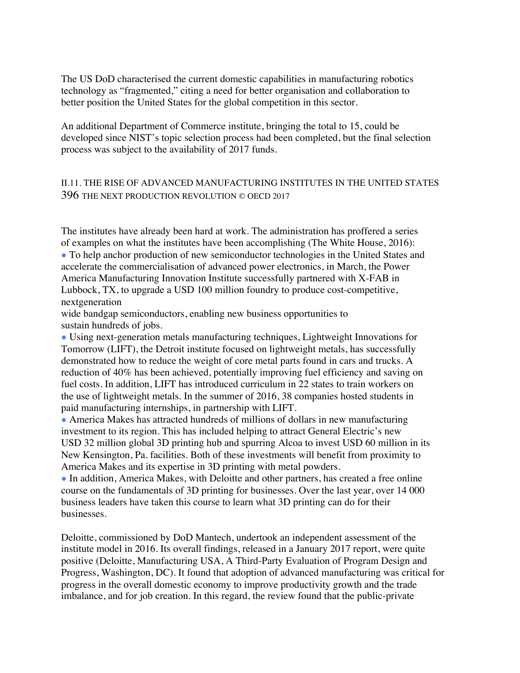The US DoD characterised the current domestic capabilities in manufacturing robotics technology as "fragmented," citing a need for better organisation and collaboration to better position the United States for the global competition in this sector.

An additional Department of Commerce institute, bringing the total to 15, could be developed since NIST's topic selection process had been completed, but the final selection process was subject to the availability of 2017 funds.

#### II.11. THE RISE OF ADVANCED MANUFACTURING INSTITUTES IN THE UNITED STATES 396 THE NEXT PRODUCTION REVOLUTION © OECD 2017

The institutes have already been hard at work. The administration has proffered a series of examples on what the institutes have been accomplishing (The White House, 2016): ! To help anchor production of new semiconductor technologies in the United States and accelerate the commercialisation of advanced power electronics, in March, the Power America Manufacturing Innovation Institute successfully partnered with X-FAB in Lubbock, TX, to upgrade a USD 100 million foundry to produce cost-competitive, nextgeneration

wide bandgap semiconductors, enabling new business opportunities to sustain hundreds of jobs.

! Using next-generation metals manufacturing techniques, Lightweight Innovations for Tomorrow (LIFT), the Detroit institute focused on lightweight metals, has successfully demonstrated how to reduce the weight of core metal parts found in cars and trucks. A reduction of 40% has been achieved, potentially improving fuel efficiency and saving on fuel costs. In addition, LIFT has introduced curriculum in 22 states to train workers on the use of lightweight metals. In the summer of 2016, 38 companies hosted students in paid manufacturing internships, in partnership with LIFT.

• America Makes has attracted hundreds of millions of dollars in new manufacturing investment to its region. This has included helping to attract General Electric's new USD 32 million global 3D printing hub and spurring Alcoa to invest USD 60 million in its New Kensington, Pa. facilities. Both of these investments will benefit from proximity to America Makes and its expertise in 3D printing with metal powders.

! In addition, America Makes, with Deloitte and other partners, has created a free online course on the fundamentals of 3D printing for businesses. Over the last year, over 14 000 business leaders have taken this course to learn what 3D printing can do for their businesses.

Deloitte, commissioned by DoD Mantech, undertook an independent assessment of the institute model in 2016. Its overall findings, released in a January 2017 report, were quite positive (Deloitte, Manufacturing USA, A Third-Party Evaluation of Program Design and Progress, Washington, DC). It found that adoption of advanced manufacturing was critical for progress in the overall domestic economy to improve productivity growth and the trade imbalance, and for job creation. In this regard, the review found that the public-private